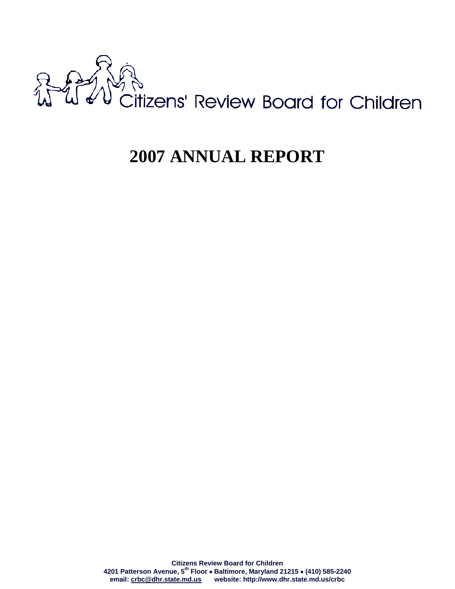

# **2007 ANNUAL REPORT**

**Citizens Review Board for Children 4201 Patterson Avenue, 5th Floor** • **Baltimore, Maryland 21215** • **(410) 585-2240 email: crbc@dhr.state.md.us website: http://www.dhr.state.md.us/crbc**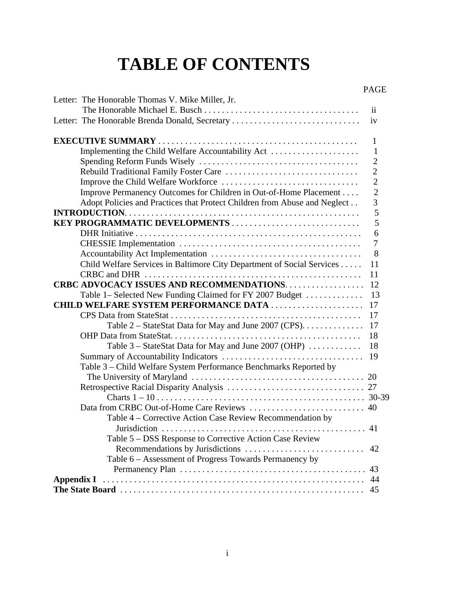# **TABLE OF CONTENTS**

|                                                                           | <b>PAGE</b>     |
|---------------------------------------------------------------------------|-----------------|
| Letter: The Honorable Thomas V. Mike Miller, Jr.                          |                 |
|                                                                           | $\overline{11}$ |
| Letter: The Honorable Brenda Donald, Secretary                            | iv              |
|                                                                           | 1               |
| Implementing the Child Welfare Accountability Act                         | $\mathbf{1}$    |
|                                                                           | $\overline{2}$  |
|                                                                           | $\overline{2}$  |
|                                                                           | $\overline{2}$  |
| Improve Permanency Outcomes for Children in Out-of-Home Placement         | $\overline{2}$  |
| Adopt Policies and Practices that Protect Children from Abuse and Neglect | 3               |
|                                                                           | 5               |
|                                                                           | 5               |
|                                                                           | 6               |
|                                                                           | 7               |
|                                                                           | 8               |
| Child Welfare Services in Baltimore City Department of Social Services    | 11              |
|                                                                           | 11              |
| <b>CRBC ADVOCACY ISSUES AND RECOMMENDATIONS.</b>                          | 12              |
| Table 1- Selected New Funding Claimed for FY 2007 Budget                  | 13              |
| <b>CHILD WELFARE SYSTEM PERFORMANCE DATA </b>                             | 17              |
|                                                                           | 17              |
| Table $2 -$ StateStat Data for May and June 2007 (CPS). $\dots$           | 17              |
|                                                                           | 18              |
| Table 3 – StateStat Data for May and June 2007 (OHP)                      | 18              |
|                                                                           | 19              |
| Table 3 - Child Welfare System Performance Benchmarks Reported by         |                 |
|                                                                           |                 |
|                                                                           |                 |
|                                                                           |                 |
|                                                                           |                 |
| Table 4 – Corrective Action Case Review Recommendation by                 |                 |
|                                                                           |                 |
| Table 5 - DSS Response to Corrective Action Case Review                   |                 |
|                                                                           | 42              |
| Table 6 - Assessment of Progress Towards Permanency by                    |                 |
|                                                                           | 43              |
|                                                                           | 44              |
|                                                                           |                 |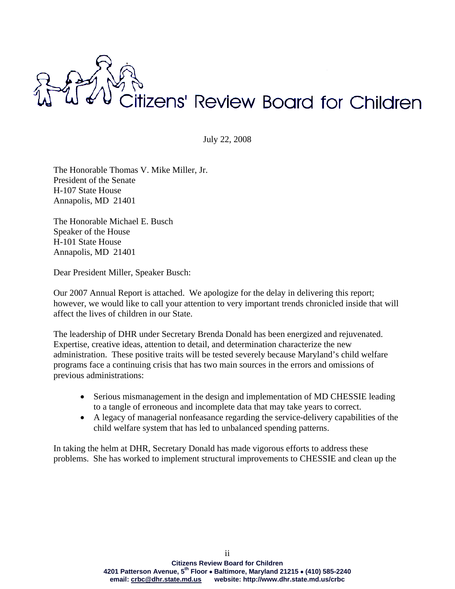

July 22, 2008

The Honorable Thomas V. Mike Miller, Jr. President of the Senate H-107 State House Annapolis, MD 21401

The Honorable Michael E. Busch Speaker of the House H-101 State House Annapolis, MD 21401

Dear President Miller, Speaker Busch:

Our 2007 Annual Report is attached. We apologize for the delay in delivering this report; however, we would like to call your attention to very important trends chronicled inside that will affect the lives of children in our State.

The leadership of DHR under Secretary Brenda Donald has been energized and rejuvenated. Expertise, creative ideas, attention to detail, and determination characterize the new administration. These positive traits will be tested severely because Maryland's child welfare programs face a continuing crisis that has two main sources in the errors and omissions of previous administrations:

- Serious mismanagement in the design and implementation of MD CHESSIE leading to a tangle of erroneous and incomplete data that may take years to correct.
- A legacy of managerial nonfeasance regarding the service-delivery capabilities of the child welfare system that has led to unbalanced spending patterns.

In taking the helm at DHR, Secretary Donald has made vigorous efforts to address these problems. She has worked to implement structural improvements to CHESSIE and clean up the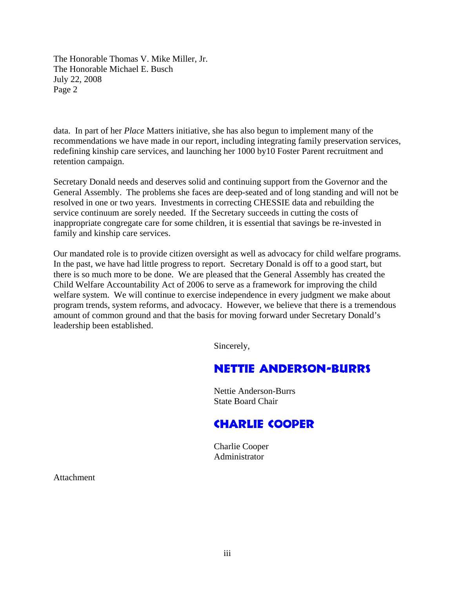The Honorable Thomas V. Mike Miller, Jr. The Honorable Michael E. Busch July 22, 2008 Page 2

data. In part of her *Place* Matters initiative, she has also begun to implement many of the recommendations we have made in our report, including integrating family preservation services, redefining kinship care services, and launching her 1000 by10 Foster Parent recruitment and retention campaign.

Secretary Donald needs and deserves solid and continuing support from the Governor and the General Assembly. The problems she faces are deep-seated and of long standing and will not be resolved in one or two years. Investments in correcting CHESSIE data and rebuilding the service continuum are sorely needed. If the Secretary succeeds in cutting the costs of inappropriate congregate care for some children, it is essential that savings be re-invested in family and kinship care services.

Our mandated role is to provide citizen oversight as well as advocacy for child welfare programs. In the past, we have had little progress to report. Secretary Donald is off to a good start, but there is so much more to be done. We are pleased that the General Assembly has created the Child Welfare Accountability Act of 2006 to serve as a framework for improving the child welfare system. We will continue to exercise independence in every judgment we make about program trends, system reforms, and advocacy. However, we believe that there is a tremendous amount of common ground and that the basis for moving forward under Secretary Donald's leadership been established.

Sincerely,

# Nettie Anderson-Burrs

 Nettie Anderson-Burrs State Board Chair

# Charlie Cooper

 Charlie Cooper Administrator

Attachment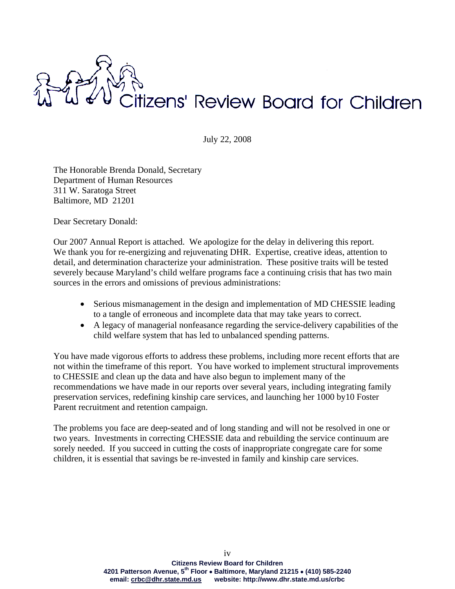

July 22, 2008

The Honorable Brenda Donald, Secretary Department of Human Resources 311 W. Saratoga Street Baltimore, MD 21201

Dear Secretary Donald:

Our 2007 Annual Report is attached. We apologize for the delay in delivering this report. We thank you for re-energizing and rejuvenating DHR. Expertise, creative ideas, attention to detail, and determination characterize your administration. These positive traits will be tested severely because Maryland's child welfare programs face a continuing crisis that has two main sources in the errors and omissions of previous administrations:

- Serious mismanagement in the design and implementation of MD CHESSIE leading to a tangle of erroneous and incomplete data that may take years to correct.
- A legacy of managerial nonfeasance regarding the service-delivery capabilities of the child welfare system that has led to unbalanced spending patterns.

You have made vigorous efforts to address these problems, including more recent efforts that are not within the timeframe of this report. You have worked to implement structural improvements to CHESSIE and clean up the data and have also begun to implement many of the recommendations we have made in our reports over several years, including integrating family preservation services, redefining kinship care services, and launching her 1000 by10 Foster Parent recruitment and retention campaign.

The problems you face are deep-seated and of long standing and will not be resolved in one or two years. Investments in correcting CHESSIE data and rebuilding the service continuum are sorely needed. If you succeed in cutting the costs of inappropriate congregate care for some children, it is essential that savings be re-invested in family and kinship care services.

> **Citizens Review Board for Children 4201 Patterson Avenue, 5th Floor** • **Baltimore, Maryland 21215** • **(410) 585-2240 email: crbc@dhr.state.md.us website: http://www.dhr.state.md.us/crbc**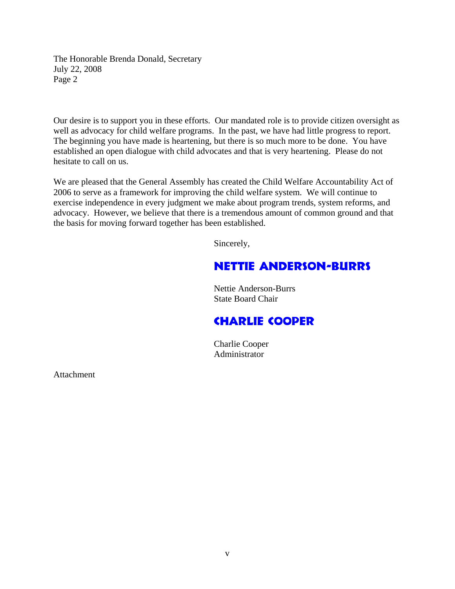The Honorable Brenda Donald, Secretary July 22, 2008 Page 2

Our desire is to support you in these efforts. Our mandated role is to provide citizen oversight as well as advocacy for child welfare programs. In the past, we have had little progress to report. The beginning you have made is heartening, but there is so much more to be done. You have established an open dialogue with child advocates and that is very heartening. Please do not hesitate to call on us.

We are pleased that the General Assembly has created the Child Welfare Accountability Act of 2006 to serve as a framework for improving the child welfare system. We will continue to exercise independence in every judgment we make about program trends, system reforms, and advocacy. However, we believe that there is a tremendous amount of common ground and that the basis for moving forward together has been established.

Sincerely,

# Nettie Anderson-Burrs

 Nettie Anderson-Burrs State Board Chair

# Charlie Cooper

 Charlie Cooper Administrator

Attachment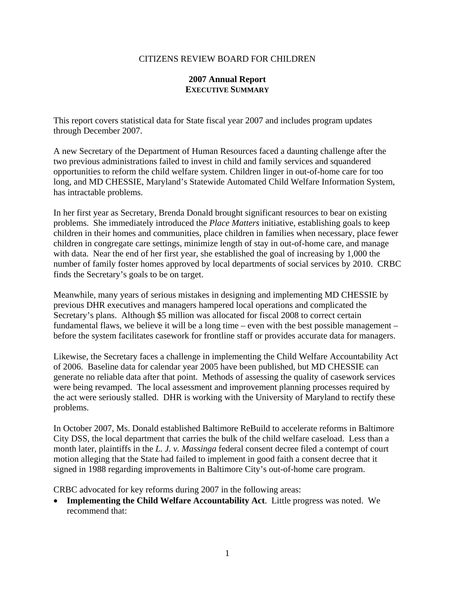#### CITIZENS REVIEW BOARD FOR CHILDREN

#### **2007 Annual Report EXECUTIVE SUMMARY**

This report covers statistical data for State fiscal year 2007 and includes program updates through December 2007.

A new Secretary of the Department of Human Resources faced a daunting challenge after the two previous administrations failed to invest in child and family services and squandered opportunities to reform the child welfare system. Children linger in out-of-home care for too long, and MD CHESSIE, Maryland's Statewide Automated Child Welfare Information System, has intractable problems.

In her first year as Secretary, Brenda Donald brought significant resources to bear on existing problems. She immediately introduced the *Place Matters* initiative, establishing goals to keep children in their homes and communities, place children in families when necessary, place fewer children in congregate care settings, minimize length of stay in out-of-home care, and manage with data. Near the end of her first year, she established the goal of increasing by 1,000 the number of family foster homes approved by local departments of social services by 2010. CRBC finds the Secretary's goals to be on target.

Meanwhile, many years of serious mistakes in designing and implementing MD CHESSIE by previous DHR executives and managers hampered local operations and complicated the Secretary's plans. Although \$5 million was allocated for fiscal 2008 to correct certain fundamental flaws, we believe it will be a long time – even with the best possible management – before the system facilitates casework for frontline staff or provides accurate data for managers.

Likewise, the Secretary faces a challenge in implementing the Child Welfare Accountability Act of 2006. Baseline data for calendar year 2005 have been published, but MD CHESSIE can generate no reliable data after that point. Methods of assessing the quality of casework services were being revamped. The local assessment and improvement planning processes required by the act were seriously stalled. DHR is working with the University of Maryland to rectify these problems.

In October 2007, Ms. Donald established Baltimore ReBuild to accelerate reforms in Baltimore City DSS, the local department that carries the bulk of the child welfare caseload. Less than a month later, plaintiffs in the *L. J. v. Massinga* federal consent decree filed a contempt of court motion alleging that the State had failed to implement in good faith a consent decree that it signed in 1988 regarding improvements in Baltimore City's out-of-home care program.

CRBC advocated for key reforms during 2007 in the following areas:

• **Implementing the Child Welfare Accountability Act**. Little progress was noted. We recommend that: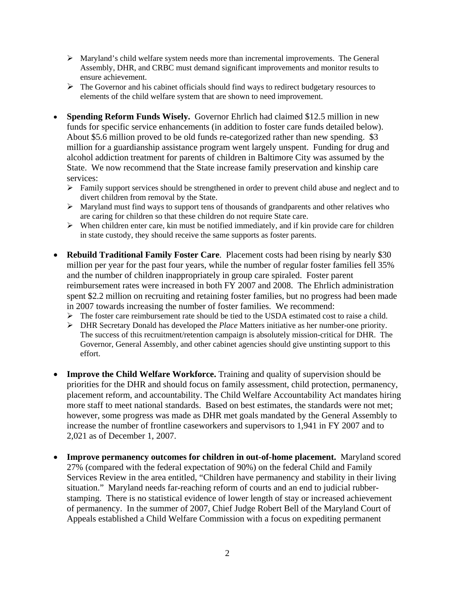- ¾ Maryland's child welfare system needs more than incremental improvements. The General Assembly, DHR, and CRBC must demand significant improvements and monitor results to ensure achievement.
- $\triangleright$  The Governor and his cabinet officials should find ways to redirect budgetary resources to elements of the child welfare system that are shown to need improvement.
- **Spending Reform Funds Wisely.** Governor Ehrlich had claimed \$12.5 million in new funds for specific service enhancements (in addition to foster care funds detailed below). About \$5.6 million proved to be old funds re-categorized rather than new spending. \$3 million for a guardianship assistance program went largely unspent. Funding for drug and alcohol addiction treatment for parents of children in Baltimore City was assumed by the State. We now recommend that the State increase family preservation and kinship care services:
	- ¾ Family support services should be strengthened in order to prevent child abuse and neglect and to divert children from removal by the State.
	- ¾ Maryland must find ways to support tens of thousands of grandparents and other relatives who are caring for children so that these children do not require State care.
	- $\triangleright$  When children enter care, kin must be notified immediately, and if kin provide care for children in state custody, they should receive the same supports as foster parents.
- **Rebuild Traditional Family Foster Care**. Placement costs had been rising by nearly \$30 million per year for the past four years, while the number of regular foster families fell 35% and the number of children inappropriately in group care spiraled. Foster parent reimbursement rates were increased in both FY 2007 and 2008. The Ehrlich administration spent \$2.2 million on recruiting and retaining foster families, but no progress had been made in 2007 towards increasing the number of foster families. We recommend:
	- $\triangleright$  The foster care reimbursement rate should be tied to the USDA estimated cost to raise a child.
	- ¾ DHR Secretary Donald has developed the *Place* Matters initiative as her number-one priority. The success of this recruitment/retention campaign is absolutely mission-critical for DHR. The Governor, General Assembly, and other cabinet agencies should give unstinting support to this effort.
- **Improve the Child Welfare Workforce.** Training and quality of supervision should be priorities for the DHR and should focus on family assessment, child protection, permanency, placement reform, and accountability. The Child Welfare Accountability Act mandates hiring more staff to meet national standards. Based on best estimates, the standards were not met; however, some progress was made as DHR met goals mandated by the General Assembly to increase the number of frontline caseworkers and supervisors to 1,941 in FY 2007 and to 2,021 as of December 1, 2007.
- **Improve permanency outcomes for children in out-of-home placement.** Maryland scored 27% (compared with the federal expectation of 90%) on the federal Child and Family Services Review in the area entitled, "Children have permanency and stability in their living situation." Maryland needs far-reaching reform of courts and an end to judicial rubberstamping. There is no statistical evidence of lower length of stay or increased achievement of permanency. In the summer of 2007, Chief Judge Robert Bell of the Maryland Court of Appeals established a Child Welfare Commission with a focus on expediting permanent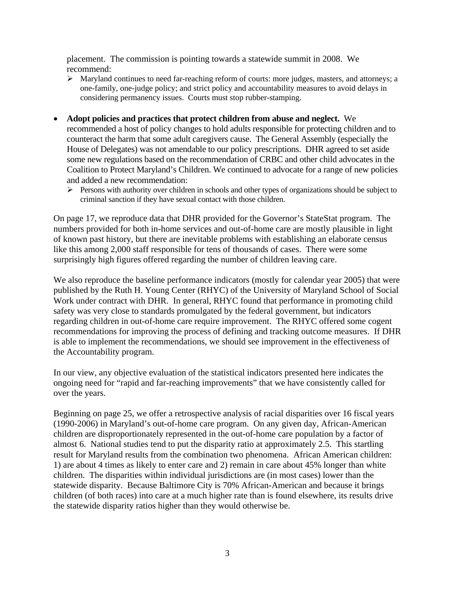placement. The commission is pointing towards a statewide summit in 2008. We recommend:

- $\triangleright$  Maryland continues to need far-reaching reform of courts: more judges, masters, and attorneys; a one-family, one-judge policy; and strict policy and accountability measures to avoid delays in considering permanency issues. Courts must stop rubber-stamping.
- **Adopt policies and practices that protect children from abuse and neglect.** We recommended a host of policy changes to hold adults responsible for protecting children and to counteract the harm that some adult caregivers cause. The General Assembly (especially the House of Delegates) was not amendable to our policy prescriptions. DHR agreed to set aside some new regulations based on the recommendation of CRBC and other child advocates in the Coalition to Protect Maryland's Children. We continued to advocate for a range of new policies and added a new recommendation:
	- $\triangleright$  Persons with authority over children in schools and other types of organizations should be subject to criminal sanction if they have sexual contact with those children.

On page 17, we reproduce data that DHR provided for the Governor's StateStat program. The numbers provided for both in-home services and out-of-home care are mostly plausible in light of known past history, but there are inevitable problems with establishing an elaborate census like this among 2,000 staff responsible for tens of thousands of cases. There were some surprisingly high figures offered regarding the number of children leaving care.

We also reproduce the baseline performance indicators (mostly for calendar year 2005) that were published by the Ruth H. Young Center (RHYC) of the University of Maryland School of Social Work under contract with DHR. In general, RHYC found that performance in promoting child safety was very close to standards promulgated by the federal government, but indicators regarding children in out-of-home care require improvement. The RHYC offered some cogent recommendations for improving the process of defining and tracking outcome measures. If DHR is able to implement the recommendations, we should see improvement in the effectiveness of the Accountability program.

In our view, any objective evaluation of the statistical indicators presented here indicates the ongoing need for "rapid and far-reaching improvements" that we have consistently called for over the years.

Beginning on page 25, we offer a retrospective analysis of racial disparities over 16 fiscal years (1990-2006) in Maryland's out-of-home care program. On any given day, African-American children are disproportionately represented in the out-of-home care population by a factor of almost 6. National studies tend to put the disparity ratio at approximately 2.5. This startling result for Maryland results from the combination two phenomena. African American children: 1) are about 4 times as likely to enter care and 2) remain in care about 45% longer than white children. The disparities within individual jurisdictions are (in most cases) lower than the statewide disparity. Because Baltimore City is 70% African-American and because it brings children (of both races) into care at a much higher rate than is found elsewhere, its results drive the statewide disparity ratios higher than they would otherwise be.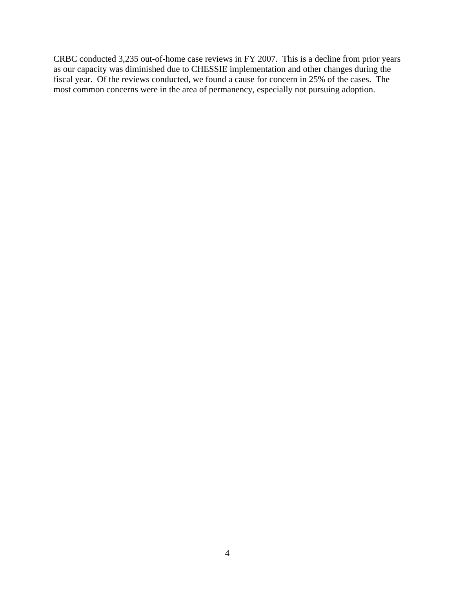CRBC conducted 3,235 out-of-home case reviews in FY 2007. This is a decline from prior years as our capacity was diminished due to CHESSIE implementation and other changes during the fiscal year. Of the reviews conducted, we found a cause for concern in 25% of the cases. The most common concerns were in the area of permanency, especially not pursuing adoption.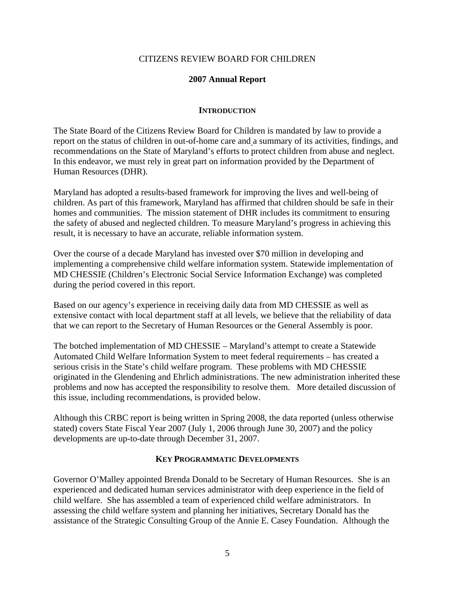#### CITIZENS REVIEW BOARD FOR CHILDREN

#### **2007 Annual Report**

#### **INTRODUCTION**

The State Board of the Citizens Review Board for Children is mandated by law to provide a report on the status of children in out-of-home care and a summary of its activities, findings, and recommendations on the State of Maryland's efforts to protect children from abuse and neglect. In this endeavor, we must rely in great part on information provided by the Department of Human Resources (DHR).

Maryland has adopted a results-based framework for improving the lives and well-being of children. As part of this framework, Maryland has affirmed that children should be safe in their homes and communities. The mission statement of DHR includes its commitment to ensuring the safety of abused and neglected children. To measure Maryland's progress in achieving this result, it is necessary to have an accurate, reliable information system.

Over the course of a decade Maryland has invested over \$70 million in developing and implementing a comprehensive child welfare information system. Statewide implementation of MD CHESSIE (Children's Electronic Social Service Information Exchange) was completed during the period covered in this report.

Based on our agency's experience in receiving daily data from MD CHESSIE as well as extensive contact with local department staff at all levels, we believe that the reliability of data that we can report to the Secretary of Human Resources or the General Assembly is poor.

The botched implementation of MD CHESSIE – Maryland's attempt to create a Statewide Automated Child Welfare Information System to meet federal requirements – has created a serious crisis in the State's child welfare program. These problems with MD CHESSIE originated in the Glendening and Ehrlich administrations. The new administration inherited these problems and now has accepted the responsibility to resolve them. More detailed discussion of this issue, including recommendations, is provided below.

Although this CRBC report is being written in Spring 2008, the data reported (unless otherwise stated) covers State Fiscal Year 2007 (July 1, 2006 through June 30, 2007) and the policy developments are up-to-date through December 31, 2007.

#### **KEY PROGRAMMATIC DEVELOPMENTS**

Governor O'Malley appointed Brenda Donald to be Secretary of Human Resources. She is an experienced and dedicated human services administrator with deep experience in the field of child welfare. She has assembled a team of experienced child welfare administrators. In assessing the child welfare system and planning her initiatives, Secretary Donald has the assistance of the Strategic Consulting Group of the Annie E. Casey Foundation. Although the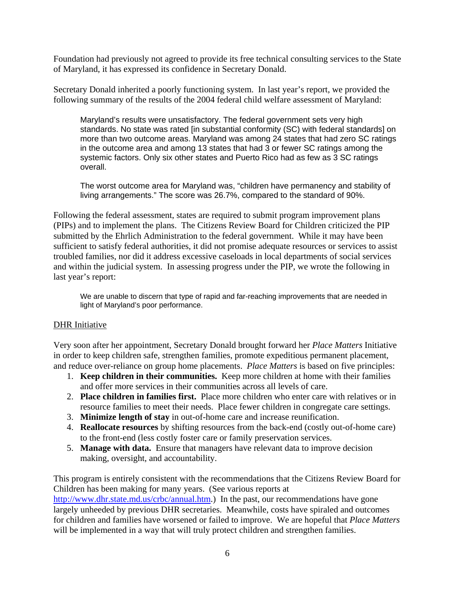Foundation had previously not agreed to provide its free technical consulting services to the State of Maryland, it has expressed its confidence in Secretary Donald.

Secretary Donald inherited a poorly functioning system. In last year's report, we provided the following summary of the results of the 2004 federal child welfare assessment of Maryland:

Maryland's results were unsatisfactory. The federal government sets very high standards. No state was rated [in substantial conformity (SC) with federal standards] on more than two outcome areas. Maryland was among 24 states that had zero SC ratings in the outcome area and among 13 states that had 3 or fewer SC ratings among the systemic factors. Only six other states and Puerto Rico had as few as 3 SC ratings overall.

The worst outcome area for Maryland was, "children have permanency and stability of living arrangements." The score was 26.7%, compared to the standard of 90%.

Following the federal assessment, states are required to submit program improvement plans (PIPs) and to implement the plans. The Citizens Review Board for Children criticized the PIP submitted by the Ehrlich Administration to the federal government. While it may have been sufficient to satisfy federal authorities, it did not promise adequate resources or services to assist troubled families, nor did it address excessive caseloads in local departments of social services and within the judicial system. In assessing progress under the PIP, we wrote the following in last year's report:

We are unable to discern that type of rapid and far-reaching improvements that are needed in light of Maryland's poor performance.

#### DHR Initiative

Very soon after her appointment, Secretary Donald brought forward her *Place Matters* Initiative in order to keep children safe, strengthen families, promote expeditious permanent placement, and reduce over-reliance on group home placements. *Place Matters* is based on five principles:

- 1. **Keep children in their communities.** Keep more children at home with their families and offer more services in their communities across all levels of care.
- 2. **Place children in families first.** Place more children who enter care with relatives or in resource families to meet their needs. Place fewer children in congregate care settings.
- 3. **Minimize length of stay** in out-of-home care and increase reunification.
- 4. **Reallocate resources** by shifting resources from the back-end (costly out-of-home care) to the front-end (less costly foster care or family preservation services.
- 5. **Manage with data.** Ensure that managers have relevant data to improve decision making, oversight, and accountability.

This program is entirely consistent with the recommendations that the Citizens Review Board for Children has been making for many years. (See various reports at http://www.dhr.state.md.us/crbc/annual.htm.) In the past, our recommendations have gone largely unheeded by previous DHR secretaries. Meanwhile, costs have spiraled and outcomes for children and families have worsened or failed to improve. We are hopeful that *Place Matters* will be implemented in a way that will truly protect children and strengthen families.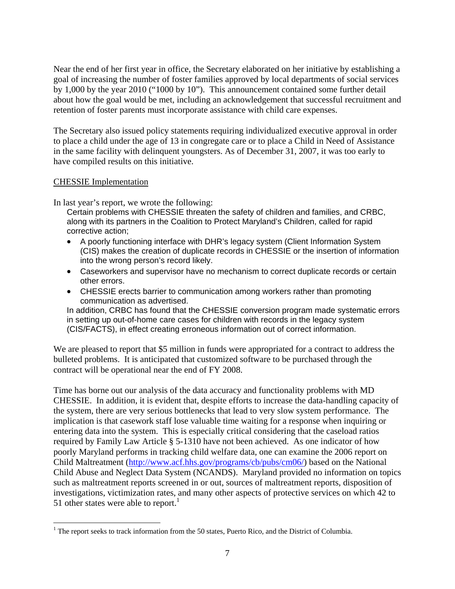Near the end of her first year in office, the Secretary elaborated on her initiative by establishing a goal of increasing the number of foster families approved by local departments of social services by 1,000 by the year 2010 ("1000 by 10"). This announcement contained some further detail about how the goal would be met, including an acknowledgement that successful recruitment and retention of foster parents must incorporate assistance with child care expenses.

The Secretary also issued policy statements requiring individualized executive approval in order to place a child under the age of 13 in congregate care or to place a Child in Need of Assistance in the same facility with delinquent youngsters. As of December 31, 2007, it was too early to have compiled results on this initiative.

#### CHESSIE Implementation

In last year's report, we wrote the following:

Certain problems with CHESSIE threaten the safety of children and families, and CRBC, along with its partners in the Coalition to Protect Maryland's Children, called for rapid corrective action;

- A poorly functioning interface with DHR's legacy system (Client Information System (CIS) makes the creation of duplicate records in CHESSIE or the insertion of information into the wrong person's record likely.
- Caseworkers and supervisor have no mechanism to correct duplicate records or certain other errors.
- CHESSIE erects barrier to communication among workers rather than promoting communication as advertised.

In addition, CRBC has found that the CHESSIE conversion program made systematic errors in setting up out-of-home care cases for children with records in the legacy system (CIS/FACTS), in effect creating erroneous information out of correct information.

We are pleased to report that \$5 million in funds were appropriated for a contract to address the bulleted problems. It is anticipated that customized software to be purchased through the contract will be operational near the end of FY 2008.

Time has borne out our analysis of the data accuracy and functionality problems with MD CHESSIE. In addition, it is evident that, despite efforts to increase the data-handling capacity of the system, there are very serious bottlenecks that lead to very slow system performance. The implication is that casework staff lose valuable time waiting for a response when inquiring or entering data into the system. This is especially critical considering that the caseload ratios required by Family Law Article § 5-1310 have not been achieved. As one indicator of how poorly Maryland performs in tracking child welfare data, one can examine the 2006 report on Child Maltreatment (http://www.acf.hhs.gov/programs/cb/pubs/cm06/) based on the National Child Abuse and Neglect Data System (NCANDS). Maryland provided no information on topics such as maltreatment reports screened in or out, sources of maltreatment reports, disposition of investigations, victimization rates, and many other aspects of protective services on which 42 to 51 other states were able to report.<sup>1</sup>

 $\overline{a}$ <sup>1</sup> The report seeks to track information from the 50 states, Puerto Rico, and the District of Columbia.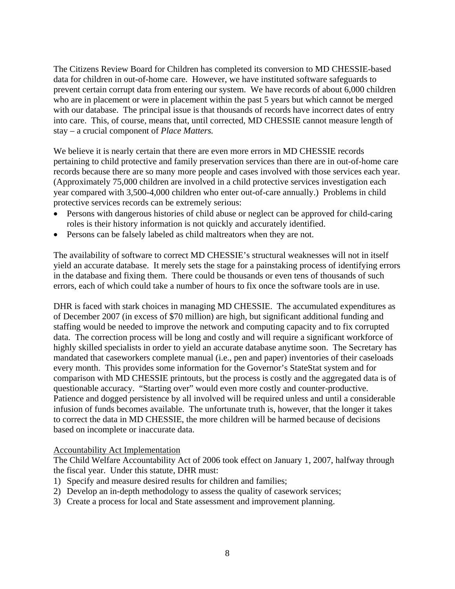The Citizens Review Board for Children has completed its conversion to MD CHESSIE-based data for children in out-of-home care. However, we have instituted software safeguards to prevent certain corrupt data from entering our system. We have records of about 6,000 children who are in placement or were in placement within the past 5 years but which cannot be merged with our database. The principal issue is that thousands of records have incorrect dates of entry into care. This, of course, means that, until corrected, MD CHESSIE cannot measure length of stay – a crucial component of *Place Matters.*

We believe it is nearly certain that there are even more errors in MD CHESSIE records pertaining to child protective and family preservation services than there are in out-of-home care records because there are so many more people and cases involved with those services each year. (Approximately 75,000 children are involved in a child protective services investigation each year compared with 3,500-4,000 children who enter out-of-care annually.) Problems in child protective services records can be extremely serious:

- Persons with dangerous histories of child abuse or neglect can be approved for child-caring roles is their history information is not quickly and accurately identified.
- Persons can be falsely labeled as child maltreators when they are not.

The availability of software to correct MD CHESSIE's structural weaknesses will not in itself yield an accurate database. It merely sets the stage for a painstaking process of identifying errors in the database and fixing them. There could be thousands or even tens of thousands of such errors, each of which could take a number of hours to fix once the software tools are in use.

DHR is faced with stark choices in managing MD CHESSIE. The accumulated expenditures as of December 2007 (in excess of \$70 million) are high, but significant additional funding and staffing would be needed to improve the network and computing capacity and to fix corrupted data. The correction process will be long and costly and will require a significant workforce of highly skilled specialists in order to yield an accurate database anytime soon. The Secretary has mandated that caseworkers complete manual (i.e., pen and paper) inventories of their caseloads every month. This provides some information for the Governor's StateStat system and for comparison with MD CHESSIE printouts, but the process is costly and the aggregated data is of questionable accuracy. "Starting over" would even more costly and counter-productive. Patience and dogged persistence by all involved will be required unless and until a considerable infusion of funds becomes available. The unfortunate truth is, however, that the longer it takes to correct the data in MD CHESSIE, the more children will be harmed because of decisions based on incomplete or inaccurate data.

#### Accountability Act Implementation

The Child Welfare Accountability Act of 2006 took effect on January 1, 2007, halfway through the fiscal year. Under this statute, DHR must:

- 1) Specify and measure desired results for children and families;
- 2) Develop an in-depth methodology to assess the quality of casework services;
- 3) Create a process for local and State assessment and improvement planning.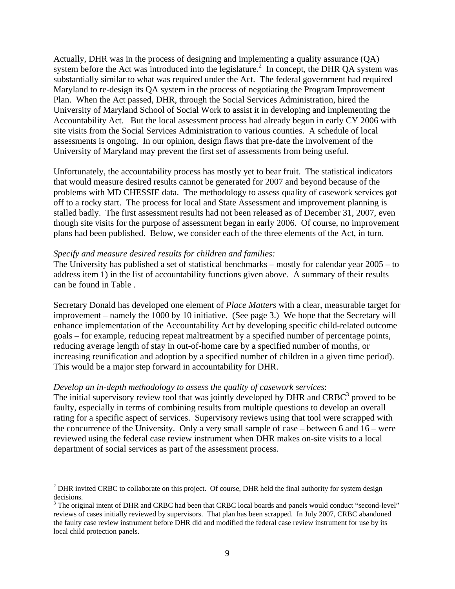Actually, DHR was in the process of designing and implementing a quality assurance (QA) system before the Act was introduced into the legislature.<sup>2</sup> In concept, the DHR QA system was substantially similar to what was required under the Act. The federal government had required Maryland to re-design its QA system in the process of negotiating the Program Improvement Plan. When the Act passed, DHR, through the Social Services Administration, hired the University of Maryland School of Social Work to assist it in developing and implementing the Accountability Act. But the local assessment process had already begun in early CY 2006 with site visits from the Social Services Administration to various counties. A schedule of local assessments is ongoing. In our opinion, design flaws that pre-date the involvement of the University of Maryland may prevent the first set of assessments from being useful.

Unfortunately, the accountability process has mostly yet to bear fruit. The statistical indicators that would measure desired results cannot be generated for 2007 and beyond because of the problems with MD CHESSIE data. The methodology to assess quality of casework services got off to a rocky start. The process for local and State Assessment and improvement planning is stalled badly. The first assessment results had not been released as of December 31, 2007, even though site visits for the purpose of assessment began in early 2006. Of course, no improvement plans had been published. Below, we consider each of the three elements of the Act, in turn.

#### *Specify and measure desired results for children and families:*

The University has published a set of statistical benchmarks – mostly for calendar year 2005 – to address item 1) in the list of accountability functions given above. A summary of their results can be found in Table .

Secretary Donald has developed one element of *Place Matters* with a clear, measurable target for improvement – namely the 1000 by 10 initiative. (See page 3.) We hope that the Secretary will enhance implementation of the Accountability Act by developing specific child-related outcome goals – for example, reducing repeat maltreatment by a specified number of percentage points, reducing average length of stay in out-of-home care by a specified number of months, or increasing reunification and adoption by a specified number of children in a given time period). This would be a major step forward in accountability for DHR.

#### *Develop an in-depth methodology to assess the quality of casework services*:

The initial supervisory review tool that was jointly developed by DHR and CRBC $3$  proved to be faulty, especially in terms of combining results from multiple questions to develop an overall rating for a specific aspect of services. Supervisory reviews using that tool were scrapped with the concurrence of the University. Only a very small sample of case – between 6 and 16 – were reviewed using the federal case review instrument when DHR makes on-site visits to a local department of social services as part of the assessment process.

<sup>1</sup>  $2$  DHR invited CRBC to collaborate on this project. Of course, DHR held the final authority for system design decisions.

 $3$  The original intent of DHR and CRBC had been that CRBC local boards and panels would conduct "second-level" reviews of cases initially reviewed by supervisors. That plan has been scrapped. In July 2007, CRBC abandoned the faulty case review instrument before DHR did and modified the federal case review instrument for use by its local child protection panels.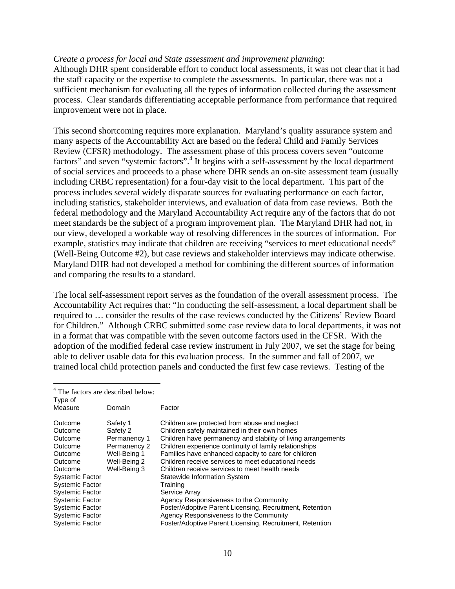#### *Create a process for local and State assessment and improvement planning*:

Although DHR spent considerable effort to conduct local assessments, it was not clear that it had the staff capacity or the expertise to complete the assessments. In particular, there was not a sufficient mechanism for evaluating all the types of information collected during the assessment process. Clear standards differentiating acceptable performance from performance that required improvement were not in place.

This second shortcoming requires more explanation. Maryland's quality assurance system and many aspects of the Accountability Act are based on the federal Child and Family Services Review (CFSR) methodology. The assessment phase of this process covers seven "outcome factors" and seven "systemic factors".<sup>4</sup> It begins with a self-assessment by the local department of social services and proceeds to a phase where DHR sends an on-site assessment team (usually including CRBC representation) for a four-day visit to the local department. This part of the process includes several widely disparate sources for evaluating performance on each factor, including statistics, stakeholder interviews, and evaluation of data from case reviews. Both the federal methodology and the Maryland Accountability Act require any of the factors that do not meet standards be the subject of a program improvement plan. The Maryland DHR had not, in our view, developed a workable way of resolving differences in the sources of information. For example, statistics may indicate that children are receiving "services to meet educational needs" (Well-Being Outcome #2), but case reviews and stakeholder interviews may indicate otherwise. Maryland DHR had not developed a method for combining the different sources of information and comparing the results to a standard.

The local self-assessment report serves as the foundation of the overall assessment process. The Accountability Act requires that: "In conducting the self-assessment, a local department shall be required to … consider the results of the case reviews conducted by the Citizens' Review Board for Children." Although CRBC submitted some case review data to local departments, it was not in a format that was compatible with the seven outcome factors used in the CFSR. With the adoption of the modified federal case review instrument in July 2007, we set the stage for being able to deliver usable data for this evaluation process. In the summer and fall of 2007, we trained local child protection panels and conducted the first few case reviews. Testing of the

| Type of                | <sup>4</sup> The factors are described below: |                                                               |
|------------------------|-----------------------------------------------|---------------------------------------------------------------|
| Measure                | Domain                                        | Factor                                                        |
| Outcome                | Safety 1                                      | Children are protected from abuse and neglect                 |
| Outcome                | Safety 2                                      | Children safely maintained in their own homes                 |
| Outcome                | Permanency 1                                  | Children have permanency and stability of living arrangements |
| Outcome                | Permanency 2                                  | Children experience continuity of family relationships        |
| Outcome                | Well-Being 1                                  | Families have enhanced capacity to care for children          |
| Outcome                | Well-Being 2                                  | Children receive services to meet educational needs           |
| Outcome                | Well-Being 3                                  | Children receive services to meet health needs                |
| <b>Systemic Factor</b> |                                               | Statewide Information System                                  |
| <b>Systemic Factor</b> |                                               | Training                                                      |
| <b>Systemic Factor</b> |                                               | Service Array                                                 |
| <b>Systemic Factor</b> |                                               | Agency Responsiveness to the Community                        |
| <b>Systemic Factor</b> |                                               | Foster/Adoptive Parent Licensing, Recruitment, Retention      |
| <b>Systemic Factor</b> |                                               | Agency Responsiveness to the Community                        |
| <b>Systemic Factor</b> |                                               | Foster/Adoptive Parent Licensing, Recruitment, Retention      |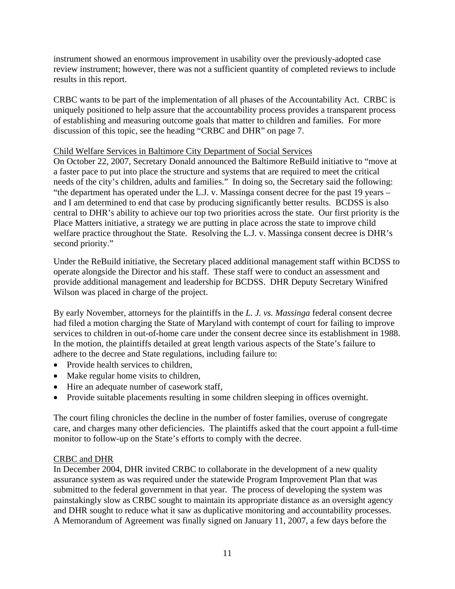instrument showed an enormous improvement in usability over the previously-adopted case review instrument; however, there was not a sufficient quantity of completed reviews to include results in this report.

CRBC wants to be part of the implementation of all phases of the Accountability Act. CRBC is uniquely positioned to help assure that the accountability process provides a transparent process of establishing and measuring outcome goals that matter to children and families. For more discussion of this topic, see the heading "CRBC and DHR" on page 7.

# Child Welfare Services in Baltimore City Department of Social Services

On October 22, 2007, Secretary Donald announced the Baltimore ReBuild initiative to "move at a faster pace to put into place the structure and systems that are required to meet the critical needs of the city's children, adults and families." In doing so, the Secretary said the following: "the department has operated under the L.J. v. Massinga consent decree for the past 19 years – and I am determined to end that case by producing significantly better results. BCDSS is also central to DHR's ability to achieve our top two priorities across the state. Our first priority is the Place Matters initiative, a strategy we are putting in place across the state to improve child welfare practice throughout the State. Resolving the L.J. v. Massinga consent decree is DHR's second priority."

Under the ReBuild initiative, the Secretary placed additional management staff within BCDSS to operate alongside the Director and his staff. These staff were to conduct an assessment and provide additional management and leadership for BCDSS. DHR Deputy Secretary Winifred Wilson was placed in charge of the project.

By early November, attorneys for the plaintiffs in the *L. J. vs. Massinga* federal consent decree had filed a motion charging the State of Maryland with contempt of court for failing to improve services to children in out-of-home care under the consent decree since its establishment in 1988. In the motion, the plaintiffs detailed at great length various aspects of the State's failure to adhere to the decree and State regulations, including failure to:

- Provide health services to children,
- Make regular home visits to children,
- Hire an adequate number of casework staff,
- Provide suitable placements resulting in some children sleeping in offices overnight.

The court filing chronicles the decline in the number of foster families, overuse of congregate care, and charges many other deficiencies. The plaintiffs asked that the court appoint a full-time monitor to follow-up on the State's efforts to comply with the decree.

# CRBC and DHR

In December 2004, DHR invited CRBC to collaborate in the development of a new quality assurance system as was required under the statewide Program Improvement Plan that was submitted to the federal government in that year. The process of developing the system was painstakingly slow as CRBC sought to maintain its appropriate distance as an oversight agency and DHR sought to reduce what it saw as duplicative monitoring and accountability processes. A Memorandum of Agreement was finally signed on January 11, 2007, a few days before the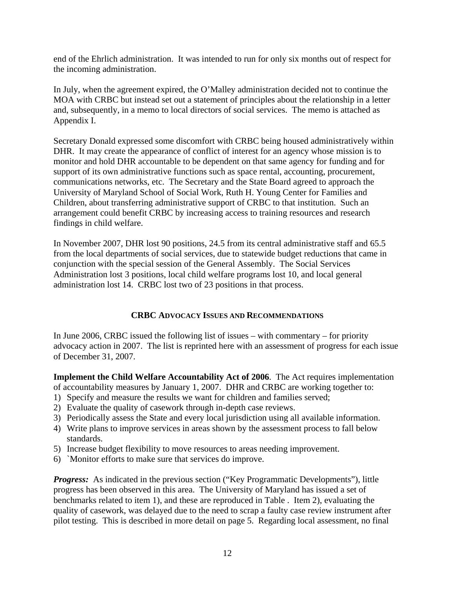end of the Ehrlich administration. It was intended to run for only six months out of respect for the incoming administration.

In July, when the agreement expired, the O'Malley administration decided not to continue the MOA with CRBC but instead set out a statement of principles about the relationship in a letter and, subsequently, in a memo to local directors of social services. The memo is attached as Appendix I.

Secretary Donald expressed some discomfort with CRBC being housed administratively within DHR. It may create the appearance of conflict of interest for an agency whose mission is to monitor and hold DHR accountable to be dependent on that same agency for funding and for support of its own administrative functions such as space rental, accounting, procurement, communications networks, etc. The Secretary and the State Board agreed to approach the University of Maryland School of Social Work, Ruth H. Young Center for Families and Children, about transferring administrative support of CRBC to that institution. Such an arrangement could benefit CRBC by increasing access to training resources and research findings in child welfare.

In November 2007, DHR lost 90 positions, 24.5 from its central administrative staff and 65.5 from the local departments of social services, due to statewide budget reductions that came in conjunction with the special session of the General Assembly. The Social Services Administration lost 3 positions, local child welfare programs lost 10, and local general administration lost 14. CRBC lost two of 23 positions in that process.

# **CRBC ADVOCACY ISSUES AND RECOMMENDATIONS**

In June 2006, CRBC issued the following list of issues – with commentary – for priority advocacy action in 2007. The list is reprinted here with an assessment of progress for each issue of December 31, 2007.

**Implement the Child Welfare Accountability Act of 2006**. The Act requires implementation of accountability measures by January 1, 2007. DHR and CRBC are working together to:

- 1) Specify and measure the results we want for children and families served;
- 2) Evaluate the quality of casework through in-depth case reviews.
- 3) Periodically assess the State and every local jurisdiction using all available information.
- 4) Write plans to improve services in areas shown by the assessment process to fall below standards.
- 5) Increase budget flexibility to move resources to areas needing improvement.
- 6) `Monitor efforts to make sure that services do improve.

*Progress:* As indicated in the previous section ("Key Programmatic Developments"), little progress has been observed in this area. The University of Maryland has issued a set of benchmarks related to item 1), and these are reproduced in Table . Item 2), evaluating the quality of casework, was delayed due to the need to scrap a faulty case review instrument after pilot testing. This is described in more detail on page 5. Regarding local assessment, no final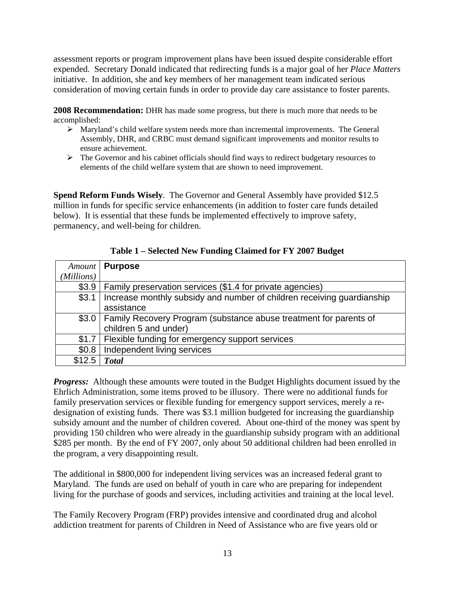assessment reports or program improvement plans have been issued despite considerable effort expended. Secretary Donald indicated that redirecting funds is a major goal of her *Place Matters* initiative. In addition, she and key members of her management team indicated serious consideration of moving certain funds in order to provide day care assistance to foster parents.

**2008 Recommendation:** DHR has made some progress, but there is much more that needs to be accomplished:

- $\triangleright$  Maryland's child welfare system needs more than incremental improvements. The General Assembly, DHR, and CRBC must demand significant improvements and monitor results to ensure achievement.
- $\triangleright$  The Governor and his cabinet officials should find ways to redirect budgetary resources to elements of the child welfare system that are shown to need improvement.

**Spend Reform Funds Wisely**. The Governor and General Assembly have provided \$12.5 million in funds for specific service enhancements (in addition to foster care funds detailed below). It is essential that these funds be implemented effectively to improve safety, permanency, and well-being for children.

|            | Amount   Purpose                                                          |
|------------|---------------------------------------------------------------------------|
| (Millions) |                                                                           |
| \$3.9      | Family preservation services (\$1.4 for private agencies)                 |
| \$3.1      | Increase monthly subsidy and number of children receiving guardianship    |
|            | assistance                                                                |
|            | \$3.0   Family Recovery Program (substance abuse treatment for parents of |
|            | children 5 and under)                                                     |
| \$1.7      | Flexible funding for emergency support services                           |
| \$0.8      | Independent living services                                               |
| \$12.5     | <b>Total</b>                                                              |

**Table 1 – Selected New Funding Claimed for FY 2007 Budget** 

*Progress:* Although these amounts were touted in the Budget Highlights document issued by the Ehrlich Administration, some items proved to be illusory. There were no additional funds for family preservation services or flexible funding for emergency support services, merely a redesignation of existing funds. There was \$3.1 million budgeted for increasing the guardianship subsidy amount and the number of children covered. About one-third of the money was spent by providing 150 children who were already in the guardianship subsidy program with an additional \$285 per month. By the end of FY 2007, only about 50 additional children had been enrolled in the program, a very disappointing result.

The additional in \$800,000 for independent living services was an increased federal grant to Maryland. The funds are used on behalf of youth in care who are preparing for independent living for the purchase of goods and services, including activities and training at the local level.

The Family Recovery Program (FRP) provides intensive and coordinated drug and alcohol addiction treatment for parents of Children in Need of Assistance who are five years old or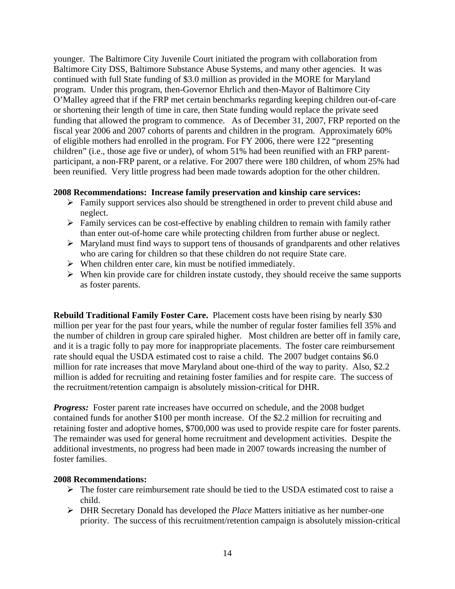younger. The Baltimore City Juvenile Court initiated the program with collaboration from Baltimore City DSS, Baltimore Substance Abuse Systems, and many other agencies. It was continued with full State funding of \$3.0 million as provided in the MORE for Maryland program. Under this program, then-Governor Ehrlich and then-Mayor of Baltimore City O'Malley agreed that if the FRP met certain benchmarks regarding keeping children out-of-care or shortening their length of time in care, then State funding would replace the private seed funding that allowed the program to commence. As of December 31, 2007, FRP reported on the fiscal year 2006 and 2007 cohorts of parents and children in the program. Approximately 60% of eligible mothers had enrolled in the program. For FY 2006, there were 122 "presenting children" (i.e., those age five or under), of whom 51% had been reunified with an FRP parentparticipant, a non-FRP parent, or a relative. For 2007 there were 180 children, of whom 25% had been reunified. Very little progress had been made towards adoption for the other children.

#### **2008 Recommendations: Increase family preservation and kinship care services:**

- $\triangleright$  Family support services also should be strengthened in order to prevent child abuse and neglect.
- $\triangleright$  Family services can be cost-effective by enabling children to remain with family rather than enter out-of-home care while protecting children from further abuse or neglect.
- $\triangleright$  Maryland must find ways to support tens of thousands of grandparents and other relatives who are caring for children so that these children do not require State care.
- $\triangleright$  When children enter care, kin must be notified immediately.
- $\triangleright$  When kin provide care for children instate custody, they should receive the same supports as foster parents.

**Rebuild Traditional Family Foster Care.** Placement costs have been rising by nearly \$30 million per year for the past four years, while the number of regular foster families fell 35% and the number of children in group care spiraled higher. Most children are better off in family care, and it is a tragic folly to pay more for inappropriate placements. The foster care reimbursement rate should equal the USDA estimated cost to raise a child. The 2007 budget contains \$6.0 million for rate increases that move Maryland about one-third of the way to parity. Also, \$2.2 million is added for recruiting and retaining foster families and for respite care. The success of the recruitment/retention campaign is absolutely mission-critical for DHR.

*Progress:* Foster parent rate increases have occurred on schedule, and the 2008 budget contained funds for another \$100 per month increase. Of the \$2.2 million for recruiting and retaining foster and adoptive homes, \$700,000 was used to provide respite care for foster parents. The remainder was used for general home recruitment and development activities. Despite the additional investments, no progress had been made in 2007 towards increasing the number of foster families.

#### **2008 Recommendations:**

- $\triangleright$  The foster care reimbursement rate should be tied to the USDA estimated cost to raise a child.
- ¾ DHR Secretary Donald has developed the *Place* Matters initiative as her number-one priority. The success of this recruitment/retention campaign is absolutely mission-critical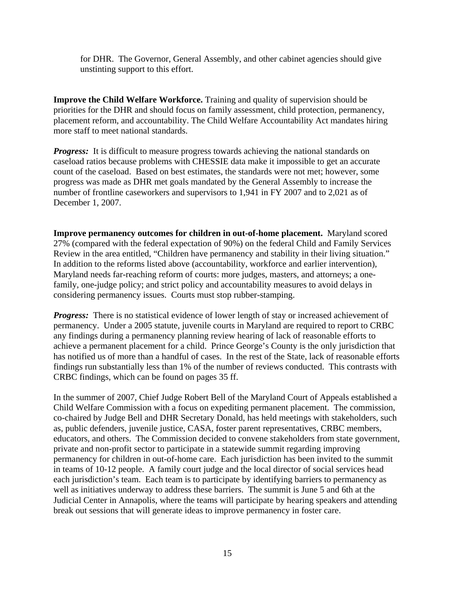for DHR. The Governor, General Assembly, and other cabinet agencies should give unstinting support to this effort.

**Improve the Child Welfare Workforce.** Training and quality of supervision should be priorities for the DHR and should focus on family assessment, child protection, permanency, placement reform, and accountability. The Child Welfare Accountability Act mandates hiring more staff to meet national standards.

*Progress:* It is difficult to measure progress towards achieving the national standards on caseload ratios because problems with CHESSIE data make it impossible to get an accurate count of the caseload. Based on best estimates, the standards were not met; however, some progress was made as DHR met goals mandated by the General Assembly to increase the number of frontline caseworkers and supervisors to 1,941 in FY 2007 and to 2,021 as of December 1, 2007.

**Improve permanency outcomes for children in out-of-home placement.** Maryland scored 27% (compared with the federal expectation of 90%) on the federal Child and Family Services Review in the area entitled, "Children have permanency and stability in their living situation." In addition to the reforms listed above (accountability, workforce and earlier intervention), Maryland needs far-reaching reform of courts: more judges, masters, and attorneys; a onefamily, one-judge policy; and strict policy and accountability measures to avoid delays in considering permanency issues. Courts must stop rubber-stamping.

**Progress:** There is no statistical evidence of lower length of stay or increased achievement of permanency. Under a 2005 statute, juvenile courts in Maryland are required to report to CRBC any findings during a permanency planning review hearing of lack of reasonable efforts to achieve a permanent placement for a child. Prince George's County is the only jurisdiction that has notified us of more than a handful of cases. In the rest of the State, lack of reasonable efforts findings run substantially less than 1% of the number of reviews conducted. This contrasts with CRBC findings, which can be found on pages 35 ff.

In the summer of 2007, Chief Judge Robert Bell of the Maryland Court of Appeals established a Child Welfare Commission with a focus on expediting permanent placement. The commission, co-chaired by Judge Bell and DHR Secretary Donald, has held meetings with stakeholders, such as, public defenders, juvenile justice, CASA, foster parent representatives, CRBC members, educators, and others. The Commission decided to convene stakeholders from state government, private and non-profit sector to participate in a statewide summit regarding improving permanency for children in out-of-home care. Each jurisdiction has been invited to the summit in teams of 10-12 people. A family court judge and the local director of social services head each jurisdiction's team. Each team is to participate by identifying barriers to permanency as well as initiatives underway to address these barriers. The summit is June 5 and 6th at the Judicial Center in Annapolis, where the teams will participate by hearing speakers and attending break out sessions that will generate ideas to improve permanency in foster care.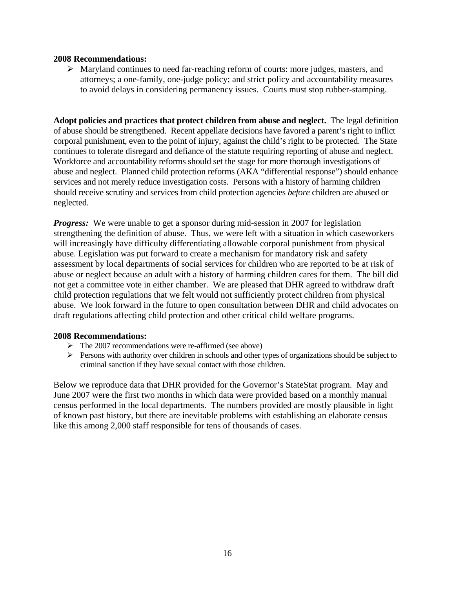#### **2008 Recommendations:**

¾ Maryland continues to need far-reaching reform of courts: more judges, masters, and attorneys; a one-family, one-judge policy; and strict policy and accountability measures to avoid delays in considering permanency issues. Courts must stop rubber-stamping.

**Adopt policies and practices that protect children from abuse and neglect.** The legal definition of abuse should be strengthened. Recent appellate decisions have favored a parent's right to inflict corporal punishment, even to the point of injury, against the child's right to be protected. The State continues to tolerate disregard and defiance of the statute requiring reporting of abuse and neglect. Workforce and accountability reforms should set the stage for more thorough investigations of abuse and neglect. Planned child protection reforms (AKA "differential response") should enhance services and not merely reduce investigation costs. Persons with a history of harming children should receive scrutiny and services from child protection agencies *before* children are abused or neglected.

*Progress:* We were unable to get a sponsor during mid-session in 2007 for legislation strengthening the definition of abuse. Thus, we were left with a situation in which caseworkers will increasingly have difficulty differentiating allowable corporal punishment from physical abuse. Legislation was put forward to create a mechanism for mandatory risk and safety assessment by local departments of social services for children who are reported to be at risk of abuse or neglect because an adult with a history of harming children cares for them. The bill did not get a committee vote in either chamber. We are pleased that DHR agreed to withdraw draft child protection regulations that we felt would not sufficiently protect children from physical abuse. We look forward in the future to open consultation between DHR and child advocates on draft regulations affecting child protection and other critical child welfare programs.

#### **2008 Recommendations:**

- $\triangleright$  The 2007 recommendations were re-affirmed (see above)
- $\triangleright$  Persons with authority over children in schools and other types of organizations should be subject to criminal sanction if they have sexual contact with those children.

Below we reproduce data that DHR provided for the Governor's StateStat program. May and June 2007 were the first two months in which data were provided based on a monthly manual census performed in the local departments. The numbers provided are mostly plausible in light of known past history, but there are inevitable problems with establishing an elaborate census like this among 2,000 staff responsible for tens of thousands of cases.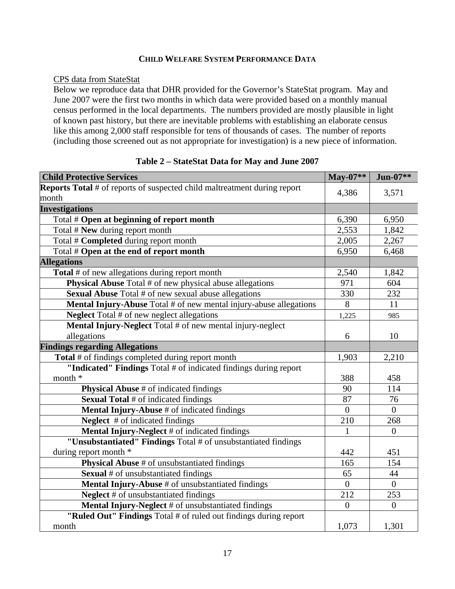#### **CHILD WELFARE SYSTEM PERFORMANCE DATA**

#### CPS data from StateStat

Below we reproduce data that DHR provided for the Governor's StateStat program. May and June 2007 were the first two months in which data were provided based on a monthly manual census performed in the local departments. The numbers provided are mostly plausible in light of known past history, but there are inevitable problems with establishing an elaborate census like this among 2,000 staff responsible for tens of thousands of cases. The number of reports (including those screened out as not appropriate for investigation) is a new piece of information.

| <b>Child Protective Services</b>                                                | May-07**       | $Jun-07**$     |
|---------------------------------------------------------------------------------|----------------|----------------|
| <b>Reports Total</b> # of reports of suspected child maltreatment during report |                |                |
| month                                                                           | 4,386          | 3,571          |
| <b>Investigations</b>                                                           |                |                |
| Total # Open at beginning of report month                                       | 6,390          | 6,950          |
| Total # New during report month                                                 | 2,553          | 1,842          |
| Total # Completed during report month                                           | 2,005          | 2,267          |
| Total # Open at the end of report month                                         | 6,950          | 6,468          |
| <b>Allegations</b>                                                              |                |                |
| <b>Total</b> # of new allegations during report month                           | 2,540          | 1,842          |
| <b>Physical Abuse</b> Total # of new physical abuse allegations                 | 971            | 604            |
| <b>Sexual Abuse Total # of new sexual abuse allegations</b>                     | 330            | 232            |
| Mental Injury-Abuse Total # of new mental injury-abuse allegations              | 8              | 11             |
| <b>Neglect</b> Total # of new neglect allegations                               | 1,225          | 985            |
| Mental Injury-Neglect Total # of new mental injury-neglect                      |                |                |
| allegations                                                                     | 6              | 10             |
| <b>Findings regarding Allegations</b>                                           |                |                |
| Total # of findings completed during report month                               | 1,903          | 2,210          |
| "Indicated" Findings Total # of indicated findings during report                |                |                |
| month *                                                                         | 388            | 458            |
| <b>Physical Abuse</b> # of indicated findings                                   | 90             | 114            |
| <b>Sexual Total</b> # of indicated findings                                     | 87             | 76             |
| Mental Injury-Abuse # of indicated findings                                     | $\overline{0}$ | $\theta$       |
| <b>Neglect</b> # of indicated findings                                          | 210            | 268            |
| Mental Injury-Neglect # of indicated findings                                   | 1              | $\overline{0}$ |
| "Unsubstantiated" Findings Total # of unsubstantiated findings                  |                |                |
| during report month *                                                           | 442            | 451            |
| <b>Physical Abuse</b> # of unsubstantiated findings                             | 165            | 154            |
| <b>Sexual # of unsubstantiated findings</b>                                     | 65             | 44             |
| Mental Injury-Abuse # of unsubstantiated findings                               | $\Omega$       | $\theta$       |
| <b>Neglect</b> # of unsubstantiated findings                                    | 212            | 253            |
| Mental Injury-Neglect # of unsubstantiated findings                             | $\overline{0}$ | $\overline{0}$ |
| "Ruled Out" Findings Total # of ruled out findings during report                |                |                |
| month                                                                           | 1,073          | 1,301          |

# **Table 2 – StateStat Data for May and June 2007**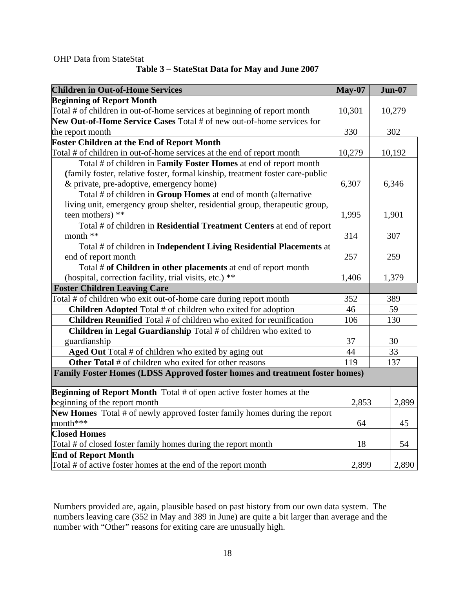# **OHP Data from StateStat**

| ---- |                                                |  |  |
|------|------------------------------------------------|--|--|
|      | Table 3 – StateStat Data for May and June 2007 |  |  |

| <b>Children in Out-of-Home Services</b>                                       | <b>May-07</b> | <b>Jun-07</b> |
|-------------------------------------------------------------------------------|---------------|---------------|
| <b>Beginning of Report Month</b>                                              |               |               |
| Total # of children in out-of-home services at beginning of report month      | 10,301        | 10,279        |
| New Out-of-Home Service Cases Total # of new out-of-home services for         |               |               |
| the report month                                                              | 330           | 302           |
| <b>Foster Children at the End of Report Month</b>                             |               |               |
| Total # of children in out-of-home services at the end of report month        | 10,279        | 10,192        |
| Total # of children in Family Foster Homes at end of report month             |               |               |
| (family foster, relative foster, formal kinship, treatment foster care-public |               |               |
| & private, pre-adoptive, emergency home)                                      | 6,307         | 6,346         |
| Total # of children in Group Homes at end of month (alternative               |               |               |
| living unit, emergency group shelter, residential group, therapeutic group,   |               |               |
| teen mothers) **                                                              | 1,995         | 1,901         |
| Total # of children in Residential Treatment Centers at end of report         |               |               |
| month **                                                                      | 314           | 307           |
| Total # of children in Independent Living Residential Placements at           |               |               |
| end of report month                                                           | 257           | 259           |
| Total # of Children in other placements at end of report month                |               |               |
| (hospital, correction facility, trial visits, etc.) **                        | 1,406         | 1,379         |
| <b>Foster Children Leaving Care</b>                                           |               |               |
| Total # of children who exit out-of-home care during report month             | 352           | 389           |
| Children Adopted Total # of children who exited for adoption                  | 46            | 59            |
| Children Reunified Total # of children who exited for reunification           | 106           | 130           |
| Children in Legal Guardianship Total # of children who exited to              |               |               |
| guardianship                                                                  | 37            | 30            |
| Aged Out Total # of children who exited by aging out                          | 44            | 33            |
| Other Total # of children who exited for other reasons                        | 119           | 137           |
| Family Foster Homes (LDSS Approved foster homes and treatment foster homes)   |               |               |
| <b>Beginning of Report Month</b> Total # of open active foster homes at the   |               |               |
| beginning of the report month                                                 | 2,853         | 2,899         |
| New Homes Total # of newly approved foster family homes during the report     |               |               |
| month***                                                                      | 64            | 45            |
| <b>Closed Homes</b>                                                           |               |               |
| Total # of closed foster family homes during the report month                 | 18            | 54            |
| <b>End of Report Month</b>                                                    |               |               |
| Total # of active foster homes at the end of the report month                 | 2,899         | 2,890         |

Numbers provided are, again, plausible based on past history from our own data system. The numbers leaving care (352 in May and 389 in June) are quite a bit larger than average and the number with "Other" reasons for exiting care are unusually high.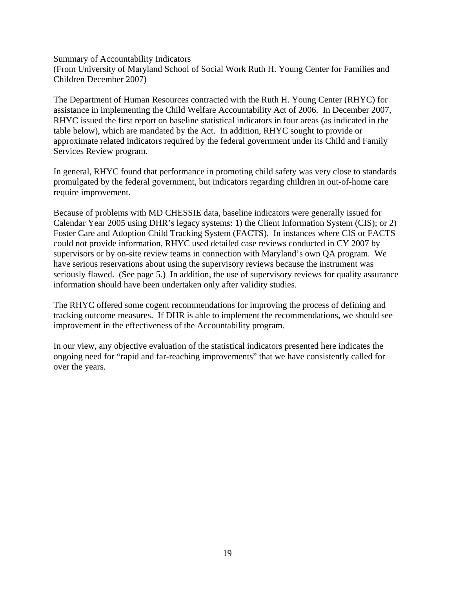Summary of Accountability Indicators

(From University of Maryland School of Social Work Ruth H. Young Center for Families and Children December 2007)

The Department of Human Resources contracted with the Ruth H. Young Center (RHYC) for assistance in implementing the Child Welfare Accountability Act of 2006. In December 2007, RHYC issued the first report on baseline statistical indicators in four areas (as indicated in the table below), which are mandated by the Act. In addition, RHYC sought to provide or approximate related indicators required by the federal government under its Child and Family Services Review program.

In general, RHYC found that performance in promoting child safety was very close to standards promulgated by the federal government, but indicators regarding children in out-of-home care require improvement.

Because of problems with MD CHESSIE data, baseline indicators were generally issued for Calendar Year 2005 using DHR's legacy systems: 1) the Client Information System (CIS); or 2) Foster Care and Adoption Child Tracking System (FACTS). In instances where CIS or FACTS could not provide information, RHYC used detailed case reviews conducted in CY 2007 by supervisors or by on-site review teams in connection with Maryland's own QA program. We have serious reservations about using the supervisory reviews because the instrument was seriously flawed. (See page 5.) In addition, the use of supervisory reviews for quality assurance information should have been undertaken only after validity studies.

The RHYC offered some cogent recommendations for improving the process of defining and tracking outcome measures. If DHR is able to implement the recommendations, we should see improvement in the effectiveness of the Accountability program.

In our view, any objective evaluation of the statistical indicators presented here indicates the ongoing need for "rapid and far-reaching improvements" that we have consistently called for over the years.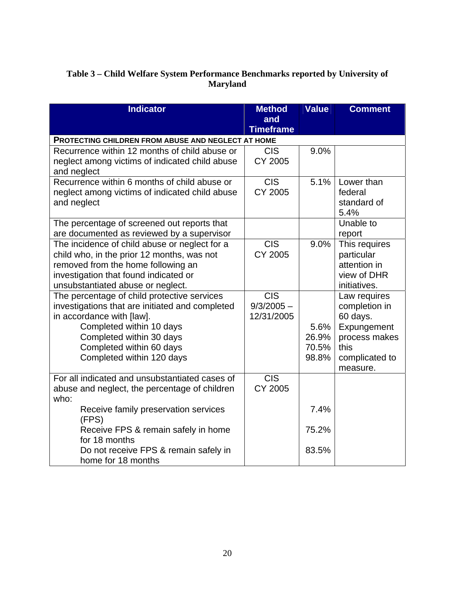# **Table 3 – Child Welfare System Performance Benchmarks reported by University of Maryland**

| <b>Indicator</b>                                                                 | <b>Method</b>    | <b>Value</b> | <b>Comment</b>             |
|----------------------------------------------------------------------------------|------------------|--------------|----------------------------|
|                                                                                  | and              |              |                            |
|                                                                                  | <b>Timeframe</b> |              |                            |
| PROTECTING CHILDREN FROM ABUSE AND NEGLECT AT HOME                               |                  |              |                            |
| Recurrence within 12 months of child abuse or                                    | <b>CIS</b>       | 9.0%         |                            |
| neglect among victims of indicated child abuse                                   | <b>CY 2005</b>   |              |                            |
| and neglect                                                                      |                  |              |                            |
| Recurrence within 6 months of child abuse or                                     | <b>CIS</b>       | 5.1%         | Lower than                 |
| neglect among victims of indicated child abuse                                   | <b>CY 2005</b>   |              | federal                    |
| and neglect                                                                      |                  |              | standard of                |
|                                                                                  |                  |              | 5.4%                       |
| The percentage of screened out reports that                                      |                  |              | Unable to                  |
| are documented as reviewed by a supervisor                                       | <b>CIS</b>       |              | report                     |
| The incidence of child abuse or neglect for a                                    | <b>CY 2005</b>   | 9.0%         | This requires              |
| child who, in the prior 12 months, was not<br>removed from the home following an |                  |              | particular<br>attention in |
| investigation that found indicated or                                            |                  |              | view of DHR                |
| unsubstantiated abuse or neglect.                                                |                  |              | initiatives.               |
| The percentage of child protective services                                      | <b>CIS</b>       |              | Law requires               |
| investigations that are initiated and completed                                  | $9/3/2005 -$     |              | completion in              |
| in accordance with [law].                                                        | 12/31/2005       |              | 60 days.                   |
| Completed within 10 days                                                         |                  | 5.6%         | Expungement                |
| Completed within 30 days                                                         |                  | 26.9%        | process makes              |
| Completed within 60 days                                                         |                  | 70.5%        | this                       |
| Completed within 120 days                                                        |                  | 98.8%        | complicated to             |
|                                                                                  |                  |              | measure.                   |
| For all indicated and unsubstantiated cases of                                   | <b>CIS</b>       |              |                            |
| abuse and neglect, the percentage of children                                    | <b>CY 2005</b>   |              |                            |
| who:                                                                             |                  |              |                            |
| Receive family preservation services<br>(FPS)                                    |                  | 7.4%         |                            |
| Receive FPS & remain safely in home<br>for 18 months                             |                  | 75.2%        |                            |
| Do not receive FPS & remain safely in                                            |                  | 83.5%        |                            |
| home for 18 months                                                               |                  |              |                            |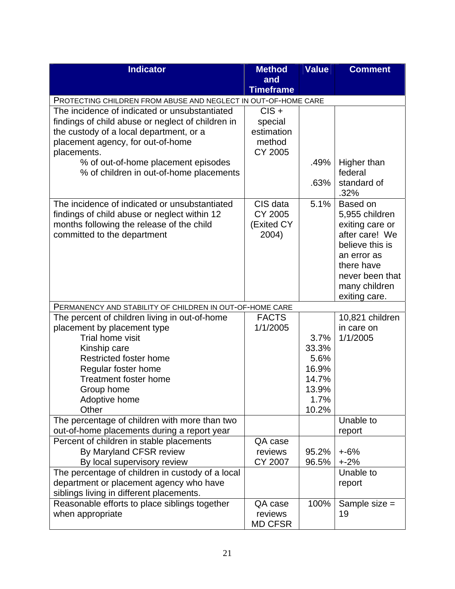| <b>Indicator</b>                                                                                                | <b>Method</b>      | <b>Value</b> | <b>Comment</b>      |
|-----------------------------------------------------------------------------------------------------------------|--------------------|--------------|---------------------|
|                                                                                                                 | and                |              |                     |
|                                                                                                                 | <b>Timeframe</b>   |              |                     |
| PROTECTING CHILDREN FROM ABUSE AND NEGLECT IN OUT-OF-HOME CARE<br>The incidence of indicated or unsubstantiated | $CIS +$            |              |                     |
| findings of child abuse or neglect of children in                                                               | special            |              |                     |
| the custody of a local department, or a                                                                         | estimation         |              |                     |
| placement agency, for out-of-home                                                                               | method             |              |                     |
| placements.                                                                                                     | <b>CY 2005</b>     |              |                     |
| % of out-of-home placement episodes                                                                             |                    | .49%         | Higher than         |
| % of children in out-of-home placements                                                                         |                    |              | federal             |
|                                                                                                                 |                    | .63%         | standard of         |
|                                                                                                                 |                    |              | .32%                |
| The incidence of indicated or unsubstantiated                                                                   | CIS data           | 5.1%         | Based on            |
| findings of child abuse or neglect within 12                                                                    | CY 2005            |              | 5,955 children      |
| months following the release of the child                                                                       | (Exited CY         |              | exiting care or     |
| committed to the department                                                                                     | 2004)              |              | after care! We      |
|                                                                                                                 |                    |              | believe this is     |
|                                                                                                                 |                    |              | an error as         |
|                                                                                                                 |                    |              | there have          |
|                                                                                                                 |                    |              | never been that     |
|                                                                                                                 |                    |              | many children       |
|                                                                                                                 |                    |              | exiting care.       |
| PERMANENCY AND STABILITY OF CHILDREN IN OUT-OF-HOME CARE<br>The percent of children living in out-of-home       | <b>FACTS</b>       |              | 10,821 children     |
| placement by placement type                                                                                     | 1/1/2005           |              | in care on          |
| Trial home visit                                                                                                |                    | 3.7%         | 1/1/2005            |
| Kinship care                                                                                                    |                    | 33.3%        |                     |
| Restricted foster home                                                                                          |                    | 5.6%         |                     |
| Regular foster home                                                                                             |                    | 16.9%        |                     |
| <b>Treatment foster home</b>                                                                                    |                    | 14.7%        |                     |
| Group home                                                                                                      |                    | 13.9%        |                     |
| Adoptive home                                                                                                   |                    | 1.7%         |                     |
| Other                                                                                                           |                    | 10.2%        |                     |
| The percentage of children with more than two                                                                   |                    |              | Unable to           |
| out-of-home placements during a report year                                                                     |                    |              | report              |
| Percent of children in stable placements                                                                        | QA case            |              |                     |
| By Maryland CFSR review                                                                                         | reviews            | 95.2%        | $+6%$               |
| By local supervisory review                                                                                     | <b>CY 2007</b>     | 96.5%        | $+2%$               |
| The percentage of children in custody of a local                                                                |                    |              | Unable to           |
| department or placement agency who have                                                                         |                    |              | report              |
| siblings living in different placements.                                                                        |                    | 100%         |                     |
| Reasonable efforts to place siblings together<br>when appropriate                                               | QA case<br>reviews |              | Sample size =<br>19 |
|                                                                                                                 | <b>MD CFSR</b>     |              |                     |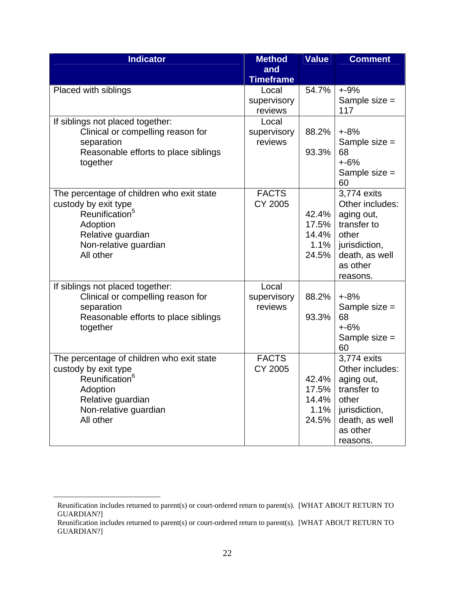| <b>Indicator</b>                                                                                                                                                       | <b>Method</b>                   | <b>Value</b>                             | <b>Comment</b>                                                                                                                  |
|------------------------------------------------------------------------------------------------------------------------------------------------------------------------|---------------------------------|------------------------------------------|---------------------------------------------------------------------------------------------------------------------------------|
|                                                                                                                                                                        | and<br><b>Timeframe</b>         |                                          |                                                                                                                                 |
| Placed with siblings                                                                                                                                                   | Local<br>supervisory<br>reviews | 54.7%                                    | $+ -9%$<br>Sample size =<br>117                                                                                                 |
| If siblings not placed together:<br>Clinical or compelling reason for<br>separation<br>Reasonable efforts to place siblings<br>together                                | Local<br>supervisory<br>reviews | 88.2%<br>93.3%                           | $+8%$<br>Sample size =<br>68<br>$+6%$<br>Sample size =<br>60                                                                    |
| The percentage of children who exit state<br>custody by exit type<br>Reunification <sup>5</sup><br>Adoption<br>Relative guardian<br>Non-relative guardian<br>All other | <b>FACTS</b><br><b>CY 2005</b>  | 42.4%<br>17.5%<br>14.4%<br>1.1%<br>24.5% | 3,774 exits<br>Other includes:<br>aging out,<br>transfer to<br>other<br>jurisdiction,<br>death, as well<br>as other<br>reasons. |
| If siblings not placed together:<br>Clinical or compelling reason for<br>separation<br>Reasonable efforts to place siblings<br>together                                | Local<br>supervisory<br>reviews | 88.2%<br>93.3%                           | $+8%$<br>Sample size =<br>68<br>$+6%$<br>Sample size =<br>60                                                                    |
| The percentage of children who exit state<br>custody by exit type<br>Reunification <sup>6</sup><br>Adoption<br>Relative guardian<br>Non-relative guardian<br>All other | <b>FACTS</b><br><b>CY 2005</b>  | 42.4%<br>17.5%<br>14.4%<br>1.1%<br>24.5% | 3,774 exits<br>Other includes:<br>aging out,<br>transfer to<br>other<br>jurisdiction,<br>death, as well<br>as other<br>reasons. |

 $\overline{a}$ 

Reunification includes returned to parent(s) or court-ordered return to parent(s). [WHAT ABOUT RETURN TO GUARDIAN?]

Reunification includes returned to parent(s) or court-ordered return to parent(s). [WHAT ABOUT RETURN TO GUARDIAN?]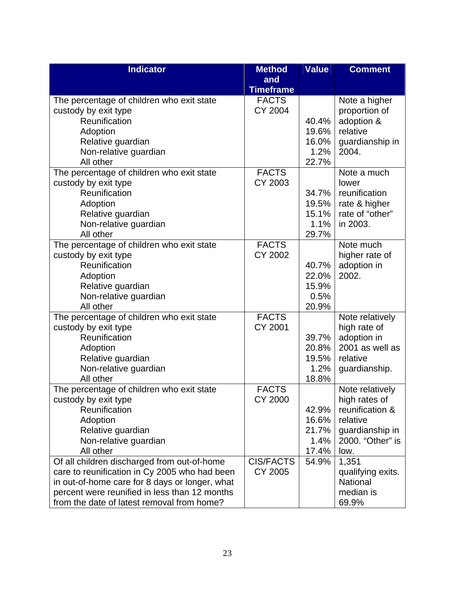| <b>Indicator</b>                               | <b>Method</b>                  | <b>Value</b>   | <b>Comment</b>                 |
|------------------------------------------------|--------------------------------|----------------|--------------------------------|
|                                                | and                            |                |                                |
|                                                | <b>Timeframe</b>               |                |                                |
| The percentage of children who exit state      | <b>FACTS</b>                   |                | Note a higher                  |
| custody by exit type                           | <b>CY 2004</b>                 |                | proportion of                  |
| Reunification                                  |                                | 40.4%          | adoption &                     |
| Adoption                                       |                                | 19.6%          | relative                       |
| Relative guardian                              |                                | 16.0%          | guardianship in                |
| Non-relative guardian                          |                                | 1.2%           | 2004.                          |
| All other                                      |                                | 22.7%          |                                |
| The percentage of children who exit state      | <b>FACTS</b>                   |                | Note a much                    |
| custody by exit type                           | CY 2003                        |                | lower                          |
| Reunification                                  |                                | 34.7%          | reunification                  |
| Adoption                                       |                                | 19.5%          | rate & higher                  |
| Relative guardian                              |                                | 15.1%          | rate of "other"                |
| Non-relative guardian                          |                                | 1.1%           | in 2003.                       |
| All other                                      |                                | 29.7%          |                                |
| The percentage of children who exit state      | <b>FACTS</b>                   |                | Note much                      |
| custody by exit type                           | <b>CY 2002</b>                 |                | higher rate of                 |
| Reunification                                  |                                | 40.7%          | adoption in                    |
| Adoption                                       |                                | 22.0%          | 2002.                          |
| Relative guardian                              |                                | 15.9%          |                                |
| Non-relative guardian                          |                                | 0.5%           |                                |
| All other                                      |                                | 20.9%          |                                |
| The percentage of children who exit state      | <b>FACTS</b><br><b>CY 2001</b> |                | Note relatively                |
| custody by exit type<br>Reunification          |                                |                | high rate of                   |
|                                                |                                | 39.7%          | adoption in<br>2001 as well as |
| Adoption                                       |                                | 20.8%<br>19.5% | relative                       |
| Relative guardian<br>Non-relative guardian     |                                | 1.2%           | guardianship.                  |
| All other                                      |                                | 18.8%          |                                |
| The percentage of children who exit state      | <b>FACTS</b>                   |                | Note relatively                |
| custody by exit type                           | <b>CY 2000</b>                 |                | high rates of                  |
| Reunification                                  |                                | 42.9%          | reunification &                |
| Adoption                                       |                                | 16.6%          | relative                       |
| Relative guardian                              |                                | 21.7%          | guardianship in                |
| Non-relative guardian                          |                                | 1.4%           | 2000. "Other" is               |
| All other                                      |                                | 17.4%          | low.                           |
| Of all children discharged from out-of-home    | <b>CIS/FACTS</b>               | 54.9%          | 1,351                          |
| care to reunification in Cy 2005 who had been  | CY 2005                        |                | qualifying exits.              |
| in out-of-home care for 8 days or longer, what |                                |                | National                       |
| percent were reunified in less than 12 months  |                                |                | median is                      |
| from the date of latest removal from home?     |                                |                | 69.9%                          |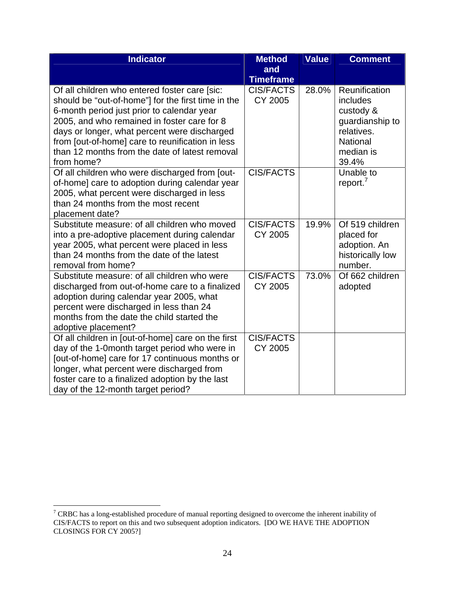| <b>Indicator</b>                                       | <b>Method</b>    | <b>Value</b> | <b>Comment</b>       |
|--------------------------------------------------------|------------------|--------------|----------------------|
|                                                        | and              |              |                      |
|                                                        | <b>Timeframe</b> |              |                      |
| Of all children who entered foster care [sic:          | <b>CIS/FACTS</b> | 28.0%        | Reunification        |
| should be "out-of-home"] for the first time in the     | <b>CY 2005</b>   |              | includes             |
| 6-month period just prior to calendar year             |                  |              | custody &            |
| 2005, and who remained in foster care for 8            |                  |              | guardianship to      |
| days or longer, what percent were discharged           |                  |              | relatives.           |
| from [out-of-home] care to reunification in less       |                  |              | <b>National</b>      |
| than 12 months from the date of latest removal         |                  |              | median is            |
| from home?                                             |                  |              | 39.4%                |
| Of all children who were discharged from [out-         | <b>CIS/FACTS</b> |              | Unable to            |
| of-home] care to adoption during calendar year         |                  |              | report. <sup>7</sup> |
| 2005, what percent were discharged in less             |                  |              |                      |
| than 24 months from the most recent<br>placement date? |                  |              |                      |
| Substitute measure: of all children who moved          | <b>CIS/FACTS</b> | 19.9%        | Of 519 children      |
| into a pre-adoptive placement during calendar          | <b>CY 2005</b>   |              | placed for           |
| year 2005, what percent were placed in less            |                  |              | adoption. An         |
| than 24 months from the date of the latest             |                  |              | historically low     |
| removal from home?                                     |                  |              | number.              |
| Substitute measure: of all children who were           | <b>CIS/FACTS</b> | 73.0%        | Of 662 children      |
| discharged from out-of-home care to a finalized        | <b>CY 2005</b>   |              | adopted              |
| adoption during calendar year 2005, what               |                  |              |                      |
| percent were discharged in less than 24                |                  |              |                      |
| months from the date the child started the             |                  |              |                      |
| adoptive placement?                                    |                  |              |                      |
| Of all children in [out-of-home] care on the first     | <b>CIS/FACTS</b> |              |                      |
| day of the 1-0month target period who were in          | CY 2005          |              |                      |
| [out-of-home] care for 17 continuous months or         |                  |              |                      |
| longer, what percent were discharged from              |                  |              |                      |
| foster care to a finalized adoption by the last        |                  |              |                      |
| day of the 12-month target period?                     |                  |              |                      |

<sup>&</sup>lt;sup>7</sup> CRBC has a long-established procedure of manual reporting designed to overcome the inherent inability of CIS/FACTS to report on this and two subsequent adoption indicators. [DO WE HAVE THE ADOPTION CLOSINGS FOR CY 2005?]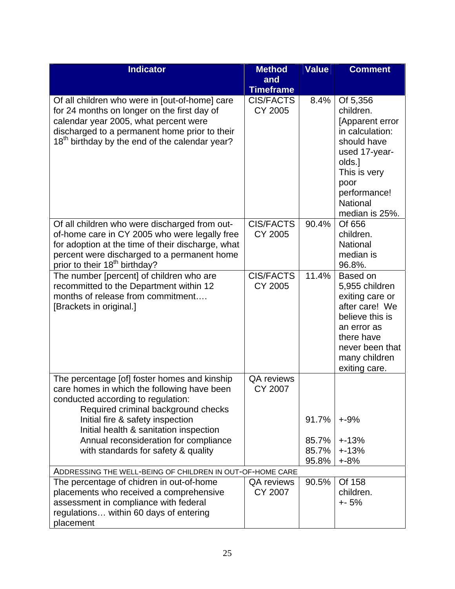| <b>Indicator</b>                                                                                                                                                                                                                                                                                                                       | <b>Method</b>                | <b>Value</b>            | <b>Comment</b>                                                                                                                                                              |
|----------------------------------------------------------------------------------------------------------------------------------------------------------------------------------------------------------------------------------------------------------------------------------------------------------------------------------------|------------------------------|-------------------------|-----------------------------------------------------------------------------------------------------------------------------------------------------------------------------|
|                                                                                                                                                                                                                                                                                                                                        | and<br><b>Timeframe</b>      |                         |                                                                                                                                                                             |
| Of all children who were in [out-of-home] care<br>for 24 months on longer on the first day of<br>calendar year 2005, what percent were<br>discharged to a permanent home prior to their<br>18 <sup>th</sup> birthday by the end of the calendar year?                                                                                  | <b>CIS/FACTS</b><br>CY 2005  | 8.4%                    | Of 5,356<br>children.<br>[Apparent error<br>in calculation:<br>should have<br>used 17-year-<br>olds.]<br>This is very<br>poor<br>performance!<br>National<br>median is 25%. |
| Of all children who were discharged from out-<br>of-home care in CY 2005 who were legally free<br>for adoption at the time of their discharge, what<br>percent were discharged to a permanent home<br>prior to their 18 <sup>th</sup> birthday?                                                                                        | <b>CIS/FACTS</b><br>CY 2005  | 90.4%                   | Of 656<br>children.<br><b>National</b><br>median is<br>96.8%.                                                                                                               |
| The number [percent] of children who are<br>recommitted to the Department within 12<br>months of release from commitment<br>[Brackets in original.]                                                                                                                                                                                    | <b>CIS/FACTS</b><br>CY 2005  | 11.4%                   | Based on<br>5,955 children<br>exiting care or<br>after care! We<br>believe this is<br>an error as<br>there have<br>never been that<br>many children<br>exiting care.        |
| The percentage [of] foster homes and kinship<br>care homes in which the following have been<br>conducted according to regulation:<br>Required criminal background checks<br>Initial fire & safety inspection<br>Initial health & sanitation inspection<br>Annual reconsideration for compliance<br>with standards for safety & quality | <b>QA</b> reviews<br>CY 2007 | 91.7%<br>85.7%<br>85.7% | $+ -9%$<br>$+13%$<br>$+13%$                                                                                                                                                 |
|                                                                                                                                                                                                                                                                                                                                        |                              | 95.8%                   | $+8%$                                                                                                                                                                       |
| ADDRESSING THE WELL-BEING OF CHILDREN IN OUT-OF-HOME CARE<br>The percentage of chidren in out-of-home<br>placements who received a comprehensive<br>assessment in compliance with federal<br>regulations within 60 days of entering<br>placement                                                                                       | QA reviews<br><b>CY 2007</b> | 90.5%                   | Of 158<br>children.<br>$+ - 5%$                                                                                                                                             |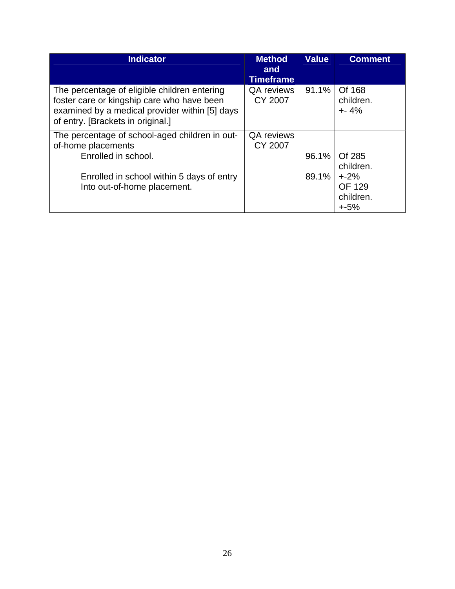| <b>Indicator</b>                                                                                                                                                                  | <b>Method</b><br>and<br><b>Timeframe</b> | <b>Value</b> | <b>Comment</b>                               |
|-----------------------------------------------------------------------------------------------------------------------------------------------------------------------------------|------------------------------------------|--------------|----------------------------------------------|
| The percentage of eligible children entering<br>foster care or kingship care who have been<br>examined by a medical provider within [5] days<br>of entry. [Brackets in original.] | <b>QA</b> reviews<br>CY 2007             | 91.1%        | Of 168<br>children.<br>$+ - 4%$              |
| The percentage of school-aged children in out-<br>of-home placements                                                                                                              | <b>QA</b> reviews<br><b>CY 2007</b>      |              |                                              |
| Enrolled in school.                                                                                                                                                               |                                          | 96.1%        | Of 285<br>children.                          |
| Enrolled in school within 5 days of entry<br>Into out-of-home placement.                                                                                                          |                                          | $89.1\%$     | $+2%$<br><b>OF 129</b><br>children.<br>$+5%$ |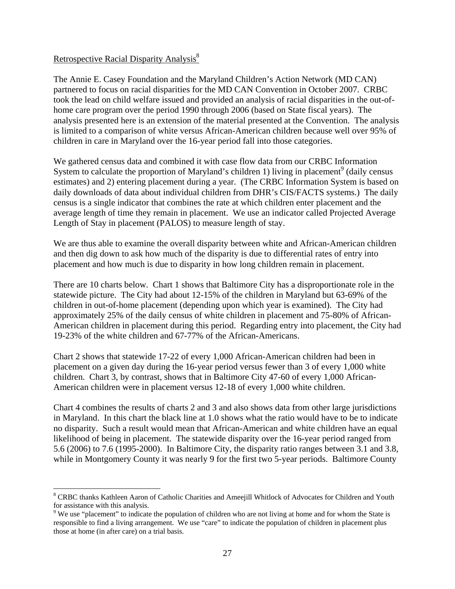#### Retrospective Racial Disparity Analysis<sup>8</sup>

The Annie E. Casey Foundation and the Maryland Children's Action Network (MD CAN) partnered to focus on racial disparities for the MD CAN Convention in October 2007. CRBC took the lead on child welfare issued and provided an analysis of racial disparities in the out-ofhome care program over the period 1990 through 2006 (based on State fiscal years). The analysis presented here is an extension of the material presented at the Convention. The analysis is limited to a comparison of white versus African-American children because well over 95% of children in care in Maryland over the 16-year period fall into those categories.

We gathered census data and combined it with case flow data from our CRBC Information System to calculate the proportion of Maryland's children 1) living in placement<sup>9</sup> (daily census estimates) and 2) entering placement during a year. (The CRBC Information System is based on daily downloads of data about individual children from DHR's CIS/FACTS systems.) The daily census is a single indicator that combines the rate at which children enter placement and the average length of time they remain in placement. We use an indicator called Projected Average Length of Stay in placement (PALOS) to measure length of stay.

We are thus able to examine the overall disparity between white and African-American children and then dig down to ask how much of the disparity is due to differential rates of entry into placement and how much is due to disparity in how long children remain in placement.

There are 10 charts below. Chart 1 shows that Baltimore City has a disproportionate role in the statewide picture. The City had about 12-15% of the children in Maryland but 63-69% of the children in out-of-home placement (depending upon which year is examined). The City had approximately 25% of the daily census of white children in placement and 75-80% of African-American children in placement during this period. Regarding entry into placement, the City had 19-23% of the white children and 67-77% of the African-Americans.

Chart 2 shows that statewide 17-22 of every 1,000 African-American children had been in placement on a given day during the 16-year period versus fewer than 3 of every 1,000 white children. Chart 3, by contrast, shows that in Baltimore City 47-60 of every 1,000 African-American children were in placement versus 12-18 of every 1,000 white children.

Chart 4 combines the results of charts 2 and 3 and also shows data from other large jurisdictions in Maryland. In this chart the black line at 1.0 shows what the ratio would have to be to indicate no disparity. Such a result would mean that African-American and white children have an equal likelihood of being in placement. The statewide disparity over the 16-year period ranged from 5.6 (2006) to 7.6 (1995-2000). In Baltimore City, the disparity ratio ranges between 3.1 and 3.8, while in Montgomery County it was nearly 9 for the first two 5-year periods. Baltimore County

<sup>1</sup> <sup>8</sup> CRBC thanks Kathleen Aaron of Catholic Charities and Ameejill Whitlock of Advocates for Children and Youth for assistance with this analysis.

 $9$  We use "placement" to indicate the population of children who are not living at home and for whom the State is responsible to find a living arrangement. We use "care" to indicate the population of children in placement plus those at home (in after care) on a trial basis.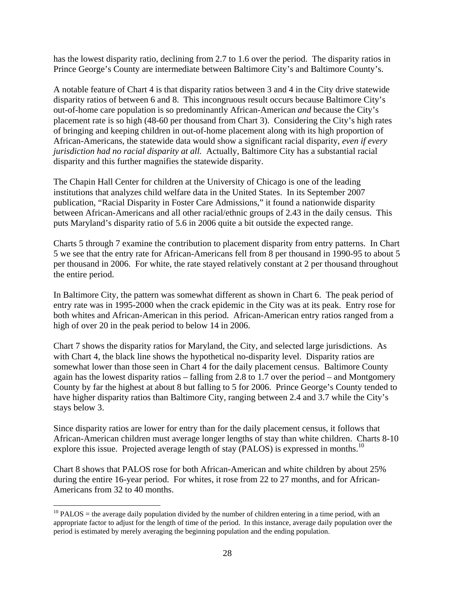has the lowest disparity ratio, declining from 2.7 to 1.6 over the period. The disparity ratios in Prince George's County are intermediate between Baltimore City's and Baltimore County's.

A notable feature of Chart 4 is that disparity ratios between 3 and 4 in the City drive statewide disparity ratios of between 6 and 8. This incongruous result occurs because Baltimore City's out-of-home care population is so predominantly African-American *and* because the City's placement rate is so high (48-60 per thousand from Chart 3). Considering the City's high rates of bringing and keeping children in out-of-home placement along with its high proportion of African-Americans, the statewide data would show a significant racial disparity, *even if every jurisdiction had no racial disparity at all.* Actually, Baltimore City has a substantial racial disparity and this further magnifies the statewide disparity.

The Chapin Hall Center for children at the University of Chicago is one of the leading institutions that analyzes child welfare data in the United States. In its September 2007 publication, "Racial Disparity in Foster Care Admissions," it found a nationwide disparity between African-Americans and all other racial/ethnic groups of 2.43 in the daily census. This puts Maryland's disparity ratio of 5.6 in 2006 quite a bit outside the expected range.

Charts 5 through 7 examine the contribution to placement disparity from entry patterns. In Chart 5 we see that the entry rate for African-Americans fell from 8 per thousand in 1990-95 to about 5 per thousand in 2006. For white, the rate stayed relatively constant at 2 per thousand throughout the entire period.

In Baltimore City, the pattern was somewhat different as shown in Chart 6. The peak period of entry rate was in 1995-2000 when the crack epidemic in the City was at its peak. Entry rose for both whites and African-American in this period. African-American entry ratios ranged from a high of over 20 in the peak period to below 14 in 2006.

Chart 7 shows the disparity ratios for Maryland, the City, and selected large jurisdictions. As with Chart 4, the black line shows the hypothetical no-disparity level. Disparity ratios are somewhat lower than those seen in Chart 4 for the daily placement census. Baltimore County again has the lowest disparity ratios – falling from 2.8 to 1.7 over the period – and Montgomery County by far the highest at about 8 but falling to 5 for 2006. Prince George's County tended to have higher disparity ratios than Baltimore City, ranging between 2.4 and 3.7 while the City's stays below 3.

Since disparity ratios are lower for entry than for the daily placement census, it follows that African-American children must average longer lengths of stay than white children. Charts 8-10 explore this issue. Projected average length of stay (PALOS) is expressed in months.<sup>10</sup>

Chart 8 shows that PALOS rose for both African-American and white children by about 25% during the entire 16-year period. For whites, it rose from 22 to 27 months, and for African-Americans from 32 to 40 months.

 $\overline{a}$  $10$  PALOS = the average daily population divided by the number of children entering in a time period, with an appropriate factor to adjust for the length of time of the period. In this instance, average daily population over the period is estimated by merely averaging the beginning population and the ending population.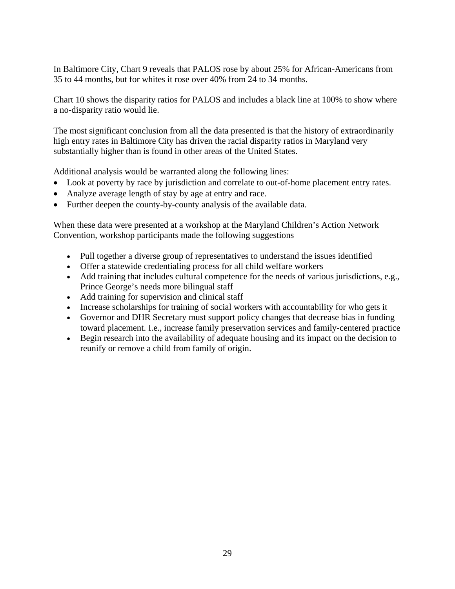In Baltimore City, Chart 9 reveals that PALOS rose by about 25% for African-Americans from 35 to 44 months, but for whites it rose over 40% from 24 to 34 months.

Chart 10 shows the disparity ratios for PALOS and includes a black line at 100% to show where a no-disparity ratio would lie.

The most significant conclusion from all the data presented is that the history of extraordinarily high entry rates in Baltimore City has driven the racial disparity ratios in Maryland very substantially higher than is found in other areas of the United States.

Additional analysis would be warranted along the following lines:

- Look at poverty by race by jurisdiction and correlate to out-of-home placement entry rates.
- Analyze average length of stay by age at entry and race.
- Further deepen the county-by-county analysis of the available data.

When these data were presented at a workshop at the Maryland Children's Action Network Convention, workshop participants made the following suggestions

- Pull together a diverse group of representatives to understand the issues identified
- Offer a statewide credentialing process for all child welfare workers
- Add training that includes cultural competence for the needs of various jurisdictions, e.g., Prince George's needs more bilingual staff
- Add training for supervision and clinical staff
- Increase scholarships for training of social workers with accountability for who gets it
- Governor and DHR Secretary must support policy changes that decrease bias in funding toward placement. I.e., increase family preservation services and family-centered practice
- Begin research into the availability of adequate housing and its impact on the decision to reunify or remove a child from family of origin.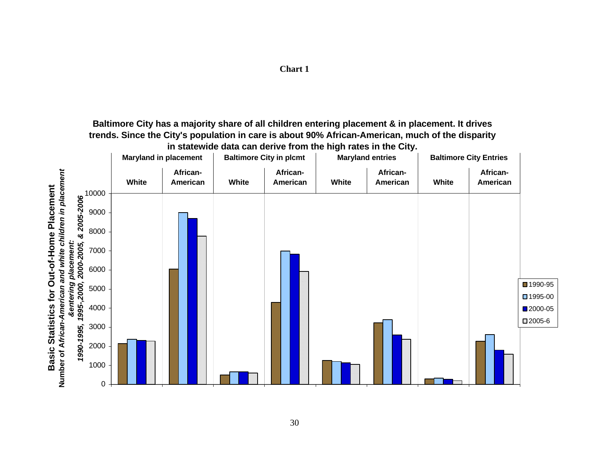

# **Chart 1**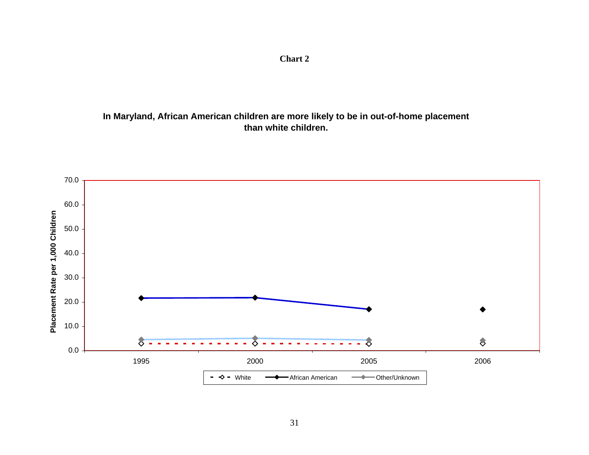**In Maryland, African American children are more likely to be in out-of-home placement than white children.**

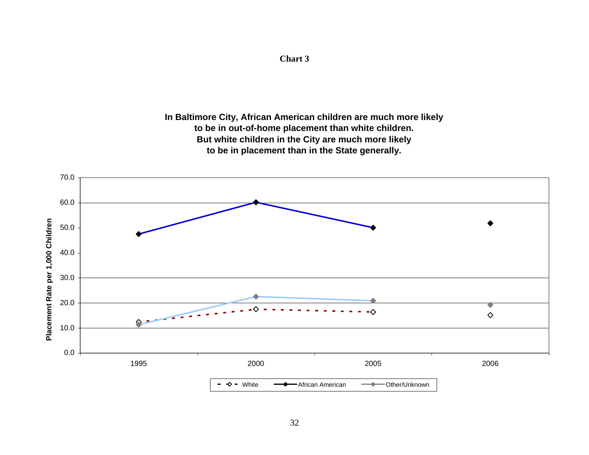# **In Baltimore City, African American children are much more likely to be in out-of-home placement than white children. But white children in the City are much more likely to be in placement than in the State generally.**



**Chart 3**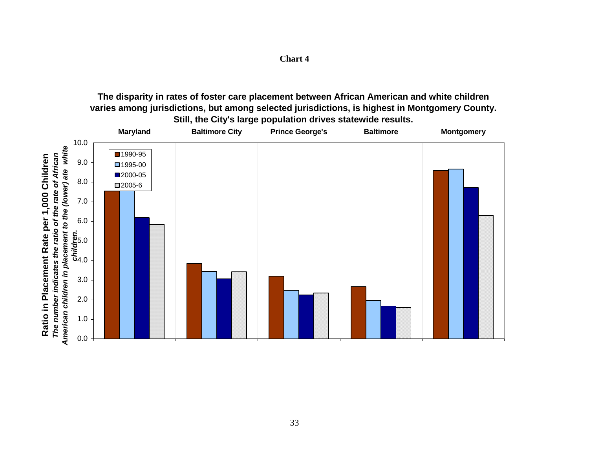| ıаr<br>Ш |  |
|----------|--|
|----------|--|

**The disparity in rates of foster care placement between African American and white children varies among jurisdictions, but among selected jurisdictions, is highest in Montgomery County. Still, the City's large population drives statewide results.**

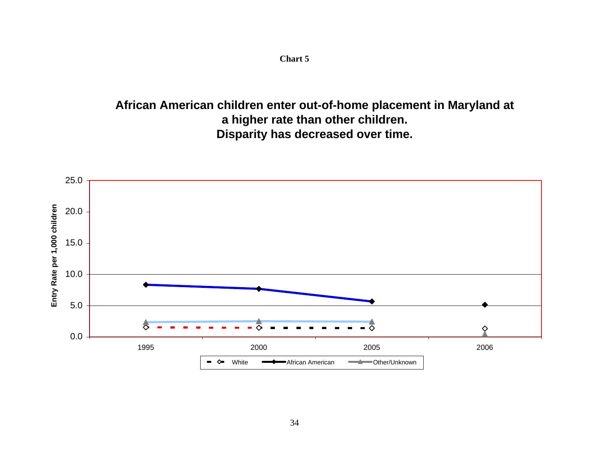**Chart 5**

**African American children enter out-of-home placement in Maryland at a higher rate than other children. Disparity has decreased over time.**

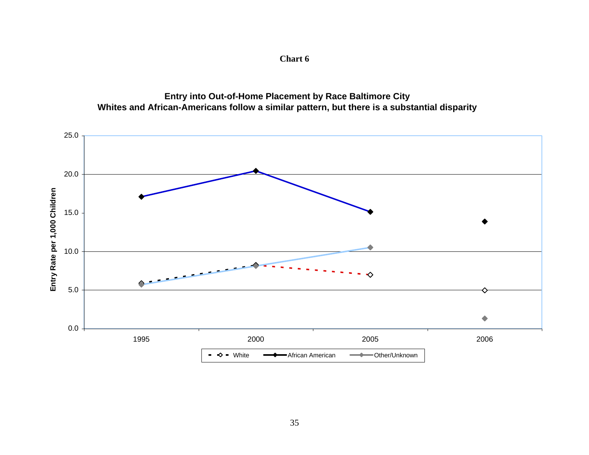**Chart 6**

**Entry into Out-of-Home Placement by Race Baltimore City Whites and African-Americans follow a similar pattern, but there is a substantial disparity**

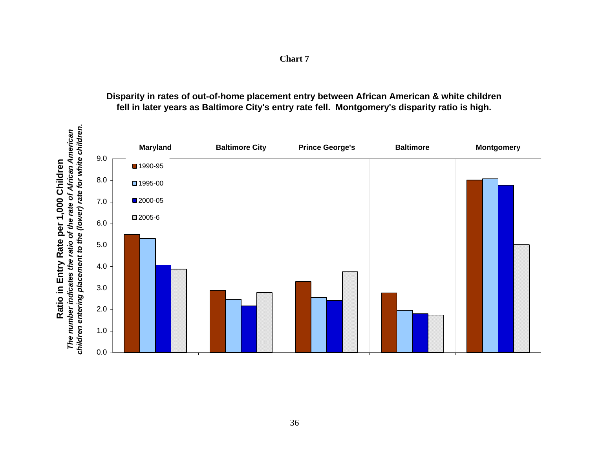| for white children.<br>African American                                                                   |         | <b>Maryland</b> | <b>Baltimore City</b> | <b>Prince George's</b> | <b>Baltimore</b> | <b>Montgomery</b> |  |  |
|-----------------------------------------------------------------------------------------------------------|---------|-----------------|-----------------------|------------------------|------------------|-------------------|--|--|
|                                                                                                           | 9.0     | ■1990-95        |                       |                        |                  |                   |  |  |
| Children                                                                                                  | 8.0     | ■1995-00        |                       |                        |                  |                   |  |  |
| ,000                                                                                                      | 7.0     | ■2000-05        |                       |                        |                  |                   |  |  |
| $\blacktriangledown$<br>per                                                                               | 6.0     | ■2005-6         |                       |                        |                  |                   |  |  |
|                                                                                                           | $5.0\,$ |                 |                       |                        |                  |                   |  |  |
| <b>Entry Rate</b>                                                                                         | 4.0     |                 |                       |                        |                  |                   |  |  |
|                                                                                                           | 3.0     |                 |                       |                        |                  |                   |  |  |
| Ratio in                                                                                                  | 2.0     |                 |                       |                        |                  |                   |  |  |
| The number indicates the ratio of the rate of <i>i</i><br>children entering placement to the (lower) rate | 1.0     |                 |                       |                        |                  |                   |  |  |
|                                                                                                           | $0.0\,$ |                 |                       |                        |                  |                   |  |  |

# **Disparity in rates of out-of-home placement entry between African American & white children fell in later years as Baltimore City's entry rate fell. Montgomery's disparity ratio is high.**

**Chart 7**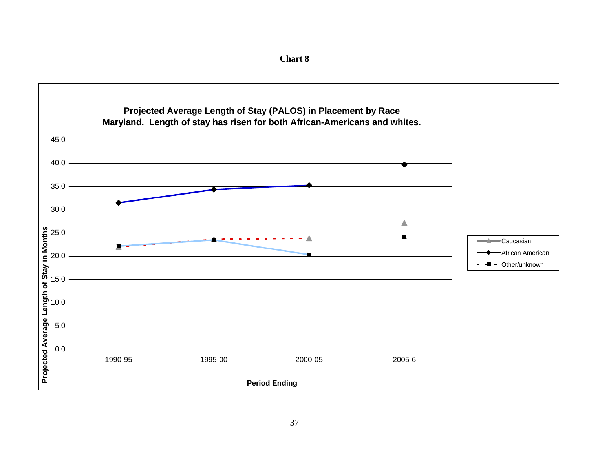

**Chart 8**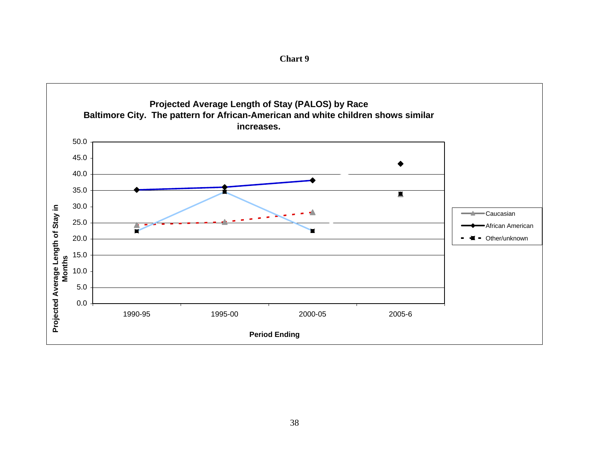![](_page_43_Figure_0.jpeg)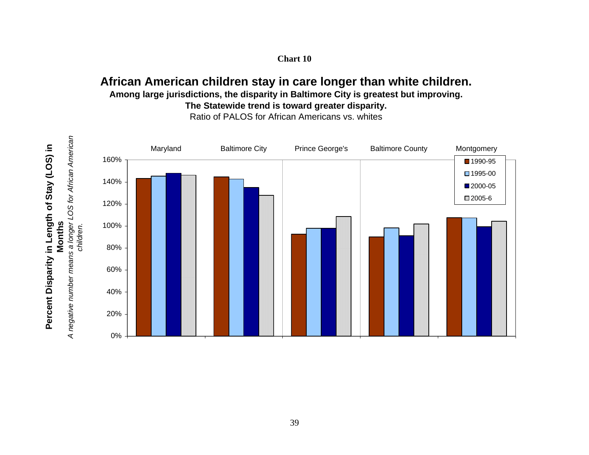#### **Chart 10**

# **African American children stay in care longer than white children. Among large jurisdictions, the disparity in Baltimore City is greatest but improving. The Statewide trend is toward greater disparity.**

Ratio of PALOS for African Americans vs. whites

![](_page_44_Figure_3.jpeg)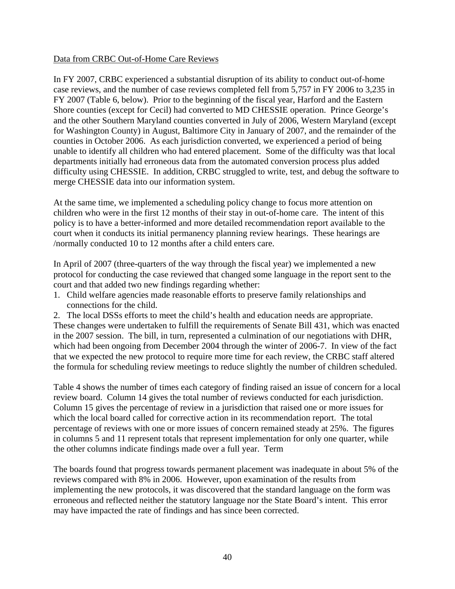#### Data from CRBC Out-of-Home Care Reviews

In FY 2007, CRBC experienced a substantial disruption of its ability to conduct out-of-home case reviews, and the number of case reviews completed fell from 5,757 in FY 2006 to 3,235 in FY 2007 (Table 6, below). Prior to the beginning of the fiscal year, Harford and the Eastern Shore counties (except for Cecil) had converted to MD CHESSIE operation. Prince George's and the other Southern Maryland counties converted in July of 2006, Western Maryland (except for Washington County) in August, Baltimore City in January of 2007, and the remainder of the counties in October 2006. As each jurisdiction converted, we experienced a period of being unable to identify all children who had entered placement. Some of the difficulty was that local departments initially had erroneous data from the automated conversion process plus added difficulty using CHESSIE. In addition, CRBC struggled to write, test, and debug the software to merge CHESSIE data into our information system.

At the same time, we implemented a scheduling policy change to focus more attention on children who were in the first 12 months of their stay in out-of-home care. The intent of this policy is to have a better-informed and more detailed recommendation report available to the court when it conducts its initial permanency planning review hearings. These hearings are /normally conducted 10 to 12 months after a child enters care.

In April of 2007 (three-quarters of the way through the fiscal year) we implemented a new protocol for conducting the case reviewed that changed some language in the report sent to the court and that added two new findings regarding whether:

1. Child welfare agencies made reasonable efforts to preserve family relationships and connections for the child.

2. The local DSSs efforts to meet the child's health and education needs are appropriate. These changes were undertaken to fulfill the requirements of Senate Bill 431, which was enacted in the 2007 session. The bill, in turn, represented a culmination of our negotiations with DHR, which had been ongoing from December 2004 through the winter of 2006-7. In view of the fact that we expected the new protocol to require more time for each review, the CRBC staff altered the formula for scheduling review meetings to reduce slightly the number of children scheduled.

Table 4 shows the number of times each category of finding raised an issue of concern for a local review board. Column 14 gives the total number of reviews conducted for each jurisdiction. Column 15 gives the percentage of review in a jurisdiction that raised one or more issues for which the local board called for corrective action in its recommendation report. The total percentage of reviews with one or more issues of concern remained steady at 25%. The figures in columns 5 and 11 represent totals that represent implementation for only one quarter, while the other columns indicate findings made over a full year. Term

The boards found that progress towards permanent placement was inadequate in about 5% of the reviews compared with 8% in 2006. However, upon examination of the results from implementing the new protocols, it was discovered that the standard language on the form was erroneous and reflected neither the statutory language nor the State Board's intent. This error may have impacted the rate of findings and has since been corrected.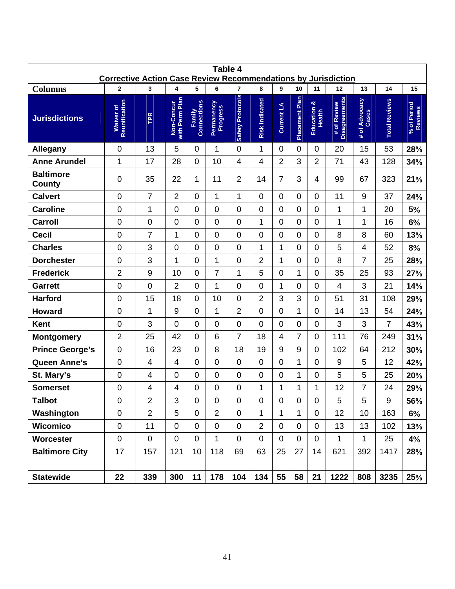| Table 4<br><b>Corrective Action Case Review Recommendations by Jurisdiction</b> |                                        |                 |                                   |                            |                             |                              |                            |                |                      |                             |                                           |                              |                            |                              |
|---------------------------------------------------------------------------------|----------------------------------------|-----------------|-----------------------------------|----------------------------|-----------------------------|------------------------------|----------------------------|----------------|----------------------|-----------------------------|-------------------------------------------|------------------------------|----------------------------|------------------------------|
|                                                                                 |                                        |                 |                                   |                            |                             |                              |                            | 9              |                      |                             |                                           |                              |                            |                              |
| <b>Columns</b><br><b>Jurisdictions</b>                                          | 2<br>Reunification<br><b>Waiver of</b> | 3<br><b>TPR</b> | 4<br>Non-Concur<br>with Perm Plan | 5<br>Connections<br>Family | 6<br>Permanency<br>Progress | 7<br><b>Safety Protocols</b> | 8<br><b>Risk Indicated</b> | Current LA     | 10<br>Placement Plan | 11<br>Education &<br>Health | 12<br><b>Disagreements</b><br># of Review | 13<br># of Advocacy<br>Cases | 14<br><b>Total Reviews</b> | 15<br>% of Period<br>Reviews |
| Allegany                                                                        | 0                                      | 13              | 5                                 | $\overline{0}$             | 1                           | $\overline{0}$               | 1                          | $\overline{0}$ | 0                    | $\mathbf 0$                 | 20                                        | 15                           | 53                         | 28%                          |
| <b>Anne Arundel</b>                                                             | $\mathbf{1}$                           | 17              | 28                                | $\mathbf 0$                | 10                          | 4                            | 4                          | 2              | 3                    | $\overline{2}$              | 71                                        | 43                           | 128                        | 34%                          |
| <b>Baltimore</b><br><b>County</b>                                               | 0                                      | 35              | 22                                | 1                          | 11                          | $\overline{2}$               | 14                         | $\overline{7}$ | 3                    | 4                           | 99                                        | 67                           | 323                        | 21%                          |
| <b>Calvert</b>                                                                  | 0                                      | $\overline{7}$  | $\overline{2}$                    | $\overline{0}$             | $\mathbf{1}$                | 1                            | 0                          | $\overline{0}$ | 0                    | $\mathbf 0$                 | 11                                        | 9                            | 37                         | 24%                          |
| <b>Caroline</b>                                                                 | 0                                      | $\mathbf 1$     | $\mathbf 0$                       | $\overline{0}$             | $\overline{0}$              | 0                            | 0                          | $\overline{0}$ | 0                    | $\mathbf 0$                 | 1                                         | 1                            | 20                         | 5%                           |
| Carroll                                                                         | 0                                      | $\overline{0}$  | $\overline{0}$                    | $\Omega$                   | $\Omega$                    | $\overline{0}$               | 1                          | $\Omega$       | 0                    | $\mathbf 0$                 | 1                                         | 1                            | 16                         | 6%                           |
| <b>Cecil</b>                                                                    | $\mathbf 0$                            | $\overline{7}$  | 1                                 | $\overline{0}$             | $\overline{0}$              | $\mathbf 0$                  | $\overline{0}$             | 0              | 0                    | $\boldsymbol{0}$            | 8                                         | 8                            | 60                         | 13%                          |
| <b>Charles</b>                                                                  | 0                                      | 3               | $\overline{0}$                    | $\Omega$                   | $\Omega$                    | $\overline{0}$               | 1                          | 1              | 0                    | $\overline{0}$              | 5                                         | 4                            | 52                         | 8%                           |
| <b>Dorchester</b>                                                               | 0                                      | 3               | 1                                 | $\overline{0}$             | 1                           | $\mathbf 0$                  | $\overline{2}$             | 1              | 0                    | $\mathbf 0$                 | 8                                         | $\overline{7}$               | 25                         | 28%                          |
| <b>Frederick</b>                                                                | $\overline{2}$                         | 9               | 10                                | $\overline{0}$             | $\overline{7}$              | 1                            | 5                          | $\overline{0}$ | 1                    | $\mathbf 0$                 | 35                                        | 25                           | 93                         | 27%                          |
| <b>Garrett</b>                                                                  | 0                                      | $\mathbf 0$     | $\overline{2}$                    | $\overline{0}$             | 1                           | 0                            | 0                          | 1              | 0                    | $\mathbf 0$                 | 4                                         | 3                            | 21                         | 14%                          |
| <b>Harford</b>                                                                  | 0                                      | 15              | 18                                | 0                          | 10                          | $\overline{0}$               | $\overline{2}$             | 3              | 3                    | $\overline{0}$              | 51                                        | 31                           | 108                        | 29%                          |
| <b>Howard</b>                                                                   | 0                                      | 1               | 9                                 | $\overline{0}$             | 1                           | $\overline{2}$               | 0                          | 0              | 1                    | $\mathbf 0$                 | 14                                        | 13                           | 54                         | 24%                          |
| Kent                                                                            | 0                                      | 3               | $\overline{0}$                    | 0                          | $\overline{0}$              | 0                            | $\overline{0}$             | 0              | 0                    | $\boldsymbol{0}$            | 3                                         | 3                            | $\overline{7}$             | 43%                          |
| <b>Montgomery</b>                                                               | $\overline{2}$                         | 25              | 42                                | $\Omega$                   | 6                           | $\overline{7}$               | 18                         | 4              | $\overline{7}$       | $\overline{0}$              | 111                                       | 76                           | 249                        | 31%                          |
| <b>Prince George's</b>                                                          | $\mathbf 0$                            | 16              | 23                                | $\overline{0}$             | 8                           | 18                           | 19                         | 9              | 9                    | $\boldsymbol{0}$            | 102                                       | 64                           | 212                        | 30%                          |
| <b>Queen Anne's</b>                                                             | 0                                      | $\overline{4}$  | $\overline{4}$                    | 0                          | $\overline{0}$              | $\mathbf 0$                  | $\overline{0}$             | $\overline{0}$ | 1                    | $\boldsymbol{0}$            | 9                                         | 5                            | 12                         | 42%                          |
| St. Mary's                                                                      | 0                                      | $\overline{4}$  | 0                                 | 0                          | $\mathbf 0$                 | $\mathbf 0$                  | 0                          | $\overline{0}$ | 1                    | $\boldsymbol{0}$            | 5                                         | 5                            | 25                         | 20%                          |
| <b>Somerset</b>                                                                 | 0                                      | 4               | 4                                 | 0                          | $\overline{0}$              | $\overline{0}$               | 1                          | 1              | 1                    | 1                           | 12                                        | 7                            | 24                         | 29%                          |
| <b>Talbot</b>                                                                   | 0                                      | $\overline{2}$  | 3                                 | $\mathbf 0$                | $\mathbf 0$                 | $\mathbf 0$                  | $\mathbf 0$                | $\mathbf 0$    | $\pmb{0}$            | $\boldsymbol{0}$            | 5                                         | 5                            | 9                          | 56%                          |
| Washington                                                                      | $\boldsymbol{0}$                       | $\overline{2}$  | 5                                 | $\mathbf 0$                | $\overline{2}$              | $\mathbf 0$                  | 1                          | 1              | 1                    | $\mathbf 0$                 | 12                                        | 10                           | 163                        | 6%                           |
| <b>Wicomico</b>                                                                 | $\pmb{0}$                              | 11              | 0                                 | $\mathbf 0$                | $\mathbf 0$                 | $\mathbf 0$                  | $\overline{2}$             | $\mathbf 0$    | $\mathbf 0$          | $\mathbf 0$                 | 13                                        | 13                           | 102                        | 13%                          |
| Worcester                                                                       | 0                                      | $\mathbf 0$     | 0                                 | $\mathbf 0$                | $\mathbf{1}$                | $\mathbf 0$                  | $\mathbf 0$                | $\mathbf 0$    | $\mathbf 0$          | $\mathbf 0$                 | 1                                         | 1.                           | 25                         | 4%                           |
| <b>Baltimore City</b>                                                           | 17                                     | 157             | 121                               | 10                         | 118                         | 69                           | 63                         | 25             | 27                   | 14                          | 621                                       | 392                          | 1417                       | 28%                          |
|                                                                                 |                                        |                 |                                   |                            |                             |                              |                            |                |                      |                             |                                           |                              |                            |                              |
| <b>Statewide</b>                                                                | 22                                     | 339             | 300                               | 11                         | 178                         | 104                          | 134                        | 55             | 58                   | 21                          | 1222                                      | 808                          | 3235                       | 25%                          |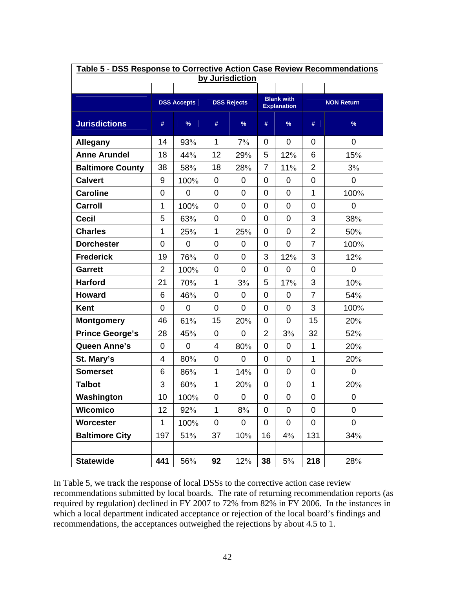| Table 5 - DSS Response to Corrective Action Case Review Recommendations |                           |                    |                |                         |                |                    |                |                   |  |  |  |
|-------------------------------------------------------------------------|---------------------------|--------------------|----------------|-------------------------|----------------|--------------------|----------------|-------------------|--|--|--|
|                                                                         | by Jurisdiction           |                    |                |                         |                |                    |                |                   |  |  |  |
|                                                                         |                           | <b>DSS Accepts</b> |                | <b>DSS Rejects</b>      |                | <b>Blank with</b>  |                | <b>NON Return</b> |  |  |  |
|                                                                         |                           |                    |                |                         |                | <b>Explanation</b> |                |                   |  |  |  |
| <b>Jurisdictions</b>                                                    | #                         | $\%$               | #              | $\Box$<br>$\frac{9}{6}$ | #              | $\%$               | #              | $\%$              |  |  |  |
| <b>Allegany</b>                                                         | 14<br>93%<br>1<br>0<br>7% |                    |                | $\mathbf 0$             | 0              | $\mathbf 0$        |                |                   |  |  |  |
| <b>Anne Arundel</b>                                                     | 18                        | 44%                | 12             | 29%                     | 5              | 12%                | 6              | 15%               |  |  |  |
| <b>Baltimore County</b>                                                 | 38                        | 58%                | 18             | 28%                     | $\overline{7}$ | 11%                | $\overline{2}$ | 3%                |  |  |  |
| <b>Calvert</b>                                                          | $9\,$                     | 100%               | $\mathbf 0$    | $\mathbf 0$             | $\mathbf 0$    | $\mathbf 0$        | 0              | $\mathbf 0$       |  |  |  |
| <b>Caroline</b>                                                         | $\mathbf 0$               | 0                  | $\mathbf 0$    | $\mathbf 0$             | 0              | $\mathbf 0$        | $\mathbf{1}$   | 100%              |  |  |  |
| Carroll                                                                 | 1                         | 100%               | $\mathbf 0$    | $\mathbf 0$             | $\mathbf 0$    | $\mathbf 0$        | 0              | $\mathbf 0$       |  |  |  |
| <b>Cecil</b>                                                            | 5                         | 63%                | 0              | $\mathbf 0$             | $\mathbf 0$    | $\mathbf 0$        | 3              | 38%               |  |  |  |
| <b>Charles</b>                                                          | 1                         | 25%                | $\mathbf 1$    | 25%                     | $\mathbf 0$    | $\mathbf 0$        | $\overline{2}$ | 50%               |  |  |  |
| <b>Dorchester</b>                                                       | $\mathbf 0$               | 0                  | $\mathbf 0$    | $\mathbf 0$             | $\mathbf 0$    | $\overline{0}$     | $\overline{7}$ | 100%              |  |  |  |
| <b>Frederick</b>                                                        | 19                        | 76%                | $\mathbf 0$    | $\mathbf 0$             | 3              | 12%                | 3              | 12%               |  |  |  |
| <b>Garrett</b>                                                          | $\overline{2}$            | 100%               | $\mathbf 0$    | $\mathbf 0$             | $\mathbf 0$    | $\mathbf 0$        | 0              | $\mathbf 0$       |  |  |  |
| <b>Harford</b>                                                          | 21                        | 70%                | 1              | 3%                      | 5              | 17%                | 3              | 10%               |  |  |  |
| <b>Howard</b>                                                           | 6                         | 46%                | $\mathbf 0$    | $\mathbf 0$             | $\mathbf 0$    | $\mathbf 0$        | $\overline{7}$ | 54%               |  |  |  |
| <b>Kent</b>                                                             | $\mathbf 0$               | 0                  | 0              | $\mathbf 0$             | $\mathbf 0$    | $\mathbf 0$        | 3              | 100%              |  |  |  |
| <b>Montgomery</b>                                                       | 46                        | 61%                | 15             | 20%                     | 0              | $\mathbf 0$        | 15             | 20%               |  |  |  |
| <b>Prince George's</b>                                                  | 28                        | 45%                | 0              | $\mathbf 0$             | $\overline{2}$ | 3%                 | 32             | 52%               |  |  |  |
| <b>Queen Anne's</b>                                                     | $\mathbf 0$               | 0                  | $\overline{4}$ | 80%                     | $\overline{0}$ | $\mathbf 0$        | 1              | 20%               |  |  |  |
| St. Mary's                                                              | $\overline{4}$            | 80%                | $\mathbf 0$    | $\mathbf 0$             | $\mathbf 0$    | $\mathbf 0$        | $\mathbf{1}$   | 20%               |  |  |  |
| <b>Somerset</b>                                                         | 6                         | 86%                | 1              | 14%                     | $\mathbf 0$    | $\mathbf 0$        | 0              | $\mathbf 0$       |  |  |  |
| <b>Talbot</b>                                                           | 3                         | 60%                | 1              | 20%                     | $\mathbf 0$    | $\mathbf 0$        | 1              | 20%               |  |  |  |
| Washington                                                              | 10                        | 100%               | 0              | 0                       | 0              | 0                  | 0              | $\mathbf 0$       |  |  |  |
| Wicomico                                                                | 12                        | 92%                | $\mathbf{1}$   | 8%                      | 0              | 0                  | 0              | 0                 |  |  |  |
| Worcester                                                               | 1                         | 100%               | 0              | 0                       | 0              | $\pmb{0}$          | 0              | $\mathbf 0$       |  |  |  |
| <b>Baltimore City</b>                                                   | 197                       | 51%                | 37             | 10%                     | 16             | 4%                 | 131            | 34%               |  |  |  |
|                                                                         |                           |                    |                |                         |                |                    |                |                   |  |  |  |
| <b>Statewide</b>                                                        | 441                       | 56%                | 92             | 12%                     | 38             | $5\%$              | 218            | 28%               |  |  |  |

In Table 5, we track the response of local DSSs to the corrective action case review recommendations submitted by local boards. The rate of returning recommendation reports (as required by regulation) declined in FY 2007 to 72% from 82% in FY 2006. In the instances in which a local department indicated acceptance or rejection of the local board's findings and recommendations, the acceptances outweighed the rejections by about 4.5 to 1.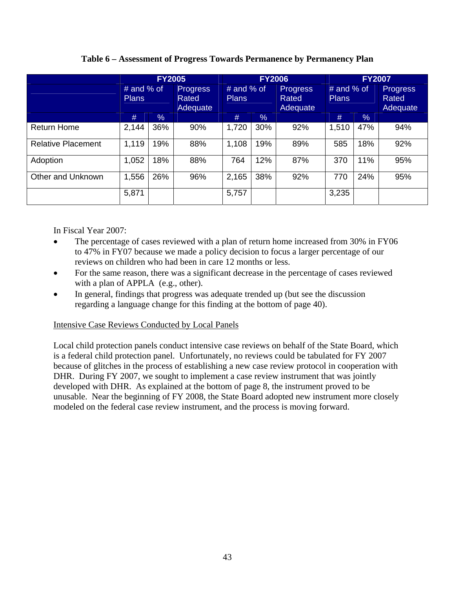|                           |                              | <b>FY2005</b> |                                             |                              | <b>FY2006</b> |                                      | <b>FY2007</b>                |     |                                             |  |
|---------------------------|------------------------------|---------------|---------------------------------------------|------------------------------|---------------|--------------------------------------|------------------------------|-----|---------------------------------------------|--|
|                           | # and $%$ of<br><b>Plans</b> |               | <b>Progress</b><br>Rated<br><b>Adequate</b> | $#$ and % of<br><b>Plans</b> |               | <b>Progress</b><br>Rated<br>Adequate | # and $%$ of<br><b>Plans</b> |     | <b>Progress</b><br>Rated<br><b>Adequate</b> |  |
|                           | #                            | $\%$          |                                             | #<br>%                       |               |                                      | $\%$<br>#                    |     |                                             |  |
| <b>Return Home</b>        | 2,144                        | 36%           | 90%                                         | 1,720                        | 30%           | 92%                                  | 1,510                        | 47% | 94%                                         |  |
| <b>Relative Placement</b> | 1,119                        | 19%           | 88%                                         | 1,108                        | 19%           | 89%                                  | 585                          | 18% | 92%                                         |  |
| Adoption                  | 1,052                        | 18%           | 88%                                         | 764                          | 12%           | 87%                                  | 370                          | 11% | 95%                                         |  |
| Other and Unknown         | 1,556                        | 26%<br>96%    |                                             | 2,165                        | 38%           | 92%                                  | 770                          | 24% | 95%                                         |  |
|                           | 5,871                        |               |                                             | 5,757                        |               |                                      | 3,235                        |     |                                             |  |

**Table 6 – Assessment of Progress Towards Permanence by Permanency Plan** 

In Fiscal Year 2007:

- The percentage of cases reviewed with a plan of return home increased from 30% in FY06 to 47% in FY07 because we made a policy decision to focus a larger percentage of our reviews on children who had been in care 12 months or less.
- For the same reason, there was a significant decrease in the percentage of cases reviewed with a plan of APPLA (e.g., other).
- In general, findings that progress was adequate trended up (but see the discussion regarding a language change for this finding at the bottom of page 40).

# Intensive Case Reviews Conducted by Local Panels

Local child protection panels conduct intensive case reviews on behalf of the State Board, which is a federal child protection panel. Unfortunately, no reviews could be tabulated for FY 2007 because of glitches in the process of establishing a new case review protocol in cooperation with DHR. During FY 2007, we sought to implement a case review instrument that was jointly developed with DHR. As explained at the bottom of page 8, the instrument proved to be unusable. Near the beginning of FY 2008, the State Board adopted new instrument more closely modeled on the federal case review instrument, and the process is moving forward.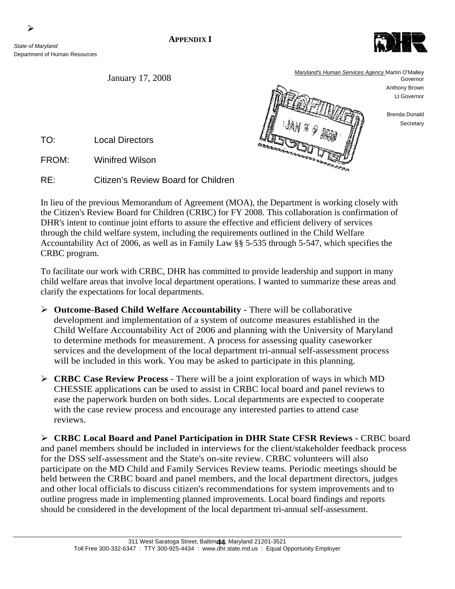#### **APPENDIX I**

*State of Maryland*  Department of Human Resources

![](_page_49_Picture_3.jpeg)

Brenda Donald **Secretary** 

TO: Local Directors

FROM: Winifred Wilson

RE: Citizen's Review Board for Children

In lieu of the previous Memorandum of Agreement (MOA), the Department is working closely with the Citizen's Review Board for Children (CRBC) for FY 2008. This collaboration is confirmation of DHR's intent to continue joint efforts to assure the effective and efficient delivery of services through the child welfare system, including the requirements outlined in the Child Welfare Accountability Act of 2006, as well as in Family Law §§ 5-535 through 5-547, which specifies the CRBC program.

To facilitate our work with CRBC, DHR has committed to provide leadership and support in many child welfare areas that involve local department operations. I wanted to summarize these areas and clarify the expectations for local departments.

- ¾ **Outcome-Based Child Welfare Accountability** There will be collaborative development and implementation of a system of outcome measures established in the Child Welfare Accountability Act of 2006 and planning with the University of Maryland to determine methods for measurement. A process for assessing quality caseworker services and the development of the local department tri-annual self-assessment process will be included in this work. You may be asked to participate in this planning.
- ¾ **CRBC Case Review Process**  There will be a joint exploration of ways in which MD CHESSIE applications can be used to assist in CRBC local board and panel reviews to ease the paperwork burden on both sides. Local departments are expected to cooperate with the case review process and encourage any interested parties to attend case reviews.

¾ **CRBC Local Board and Panel Participation in DHR State CFSR Reviews -** CRBC board and panel members should be included in interviews for the client/stakeholder feedback process for the DSS self-assessment and the State's on-site review. CRBC volunteers will also participate on the MD Child and Family Services Review teams. Periodic meetings should be held between the CRBC board and panel members, and the local department directors, judges and other local officials to discuss citizen's recommendations for system improvements and to outline progress made in implementing planned improvements. Local board findings and reports should be considered in the development of the local department tri-annual self-assessment.

![](_page_49_Picture_14.jpeg)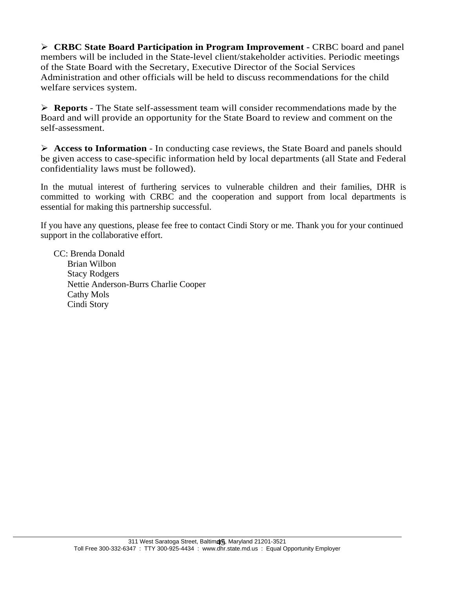¾ **CRBC State Board Participation in Program Improvement -** CRBC board and panel members will be included in the State-level client/stakeholder activities. Periodic meetings of the State Board with the Secretary, Executive Director of the Social Services Administration and other officials will be held to discuss recommendations for the child welfare services system.

¾ **Reports** - The State self-assessment team will consider recommendations made by the Board and will provide an opportunity for the State Board to review and comment on the self-assessment.

¾ **Access to Information** - In conducting case reviews, the State Board and panels should be given access to case-specific information held by local departments (all State and Federal confidentiality laws must be followed).

In the mutual interest of furthering services to vulnerable children and their families, DHR is committed to working with CRBC and the cooperation and support from local departments is essential for making this partnership successful.

If you have any questions, please fee free to contact Cindi Story or me. Thank you for your continued support in the collaborative effort.

 CC: Brenda Donald Brian Wilbon Stacy Rodgers Nettie Anderson-Burrs Charlie Cooper Cathy Mols Cindi Story